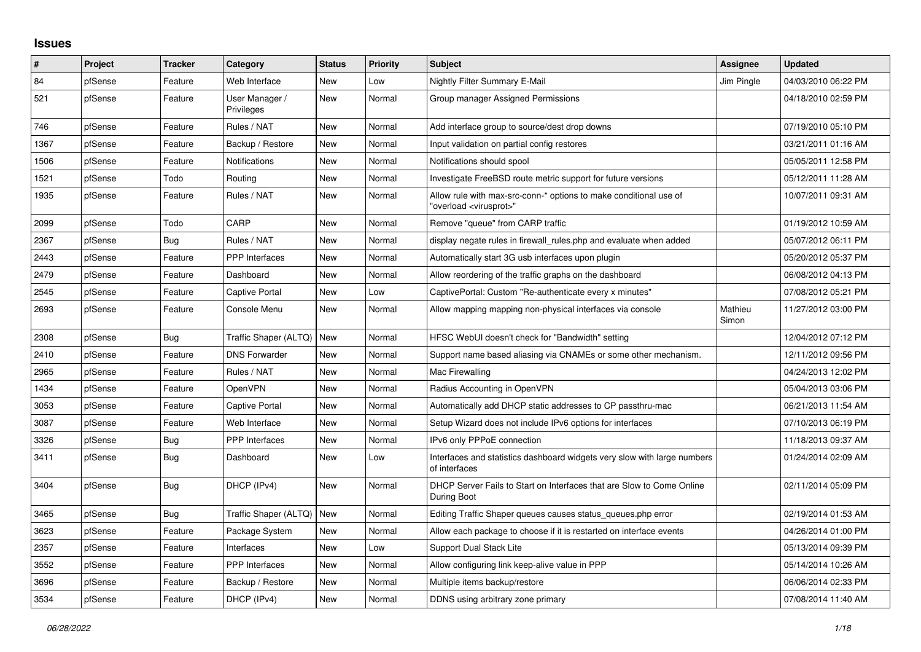## **Issues**

| ∦    | Project | <b>Tracker</b> | Category                     | <b>Status</b> | <b>Priority</b> | <b>Subject</b>                                                                                          | Assignee         | <b>Updated</b>      |
|------|---------|----------------|------------------------------|---------------|-----------------|---------------------------------------------------------------------------------------------------------|------------------|---------------------|
| 84   | pfSense | Feature        | Web Interface                | <b>New</b>    | Low             | Nightly Filter Summary E-Mail                                                                           | Jim Pingle       | 04/03/2010 06:22 PM |
| 521  | pfSense | Feature        | User Manager /<br>Privileges | <b>New</b>    | Normal          | Group manager Assigned Permissions                                                                      |                  | 04/18/2010 02:59 PM |
| 746  | pfSense | Feature        | Rules / NAT                  | <b>New</b>    | Normal          | Add interface group to source/dest drop downs                                                           |                  | 07/19/2010 05:10 PM |
| 1367 | pfSense | Feature        | Backup / Restore             | New           | Normal          | Input validation on partial config restores                                                             |                  | 03/21/2011 01:16 AM |
| 1506 | pfSense | Feature        | Notifications                | <b>New</b>    | Normal          | Notifications should spool                                                                              |                  | 05/05/2011 12:58 PM |
| 1521 | pfSense | Todo           | Routing                      | New           | Normal          | Investigate FreeBSD route metric support for future versions                                            |                  | 05/12/2011 11:28 AM |
| 1935 | pfSense | Feature        | Rules / NAT                  | <b>New</b>    | Normal          | Allow rule with max-src-conn-* options to make conditional use of<br>"overload <virusprot>"</virusprot> |                  | 10/07/2011 09:31 AM |
| 2099 | pfSense | Todo           | CARP                         | <b>New</b>    | Normal          | Remove "queue" from CARP traffic                                                                        |                  | 01/19/2012 10:59 AM |
| 2367 | pfSense | Bug            | Rules / NAT                  | New           | Normal          | display negate rules in firewall_rules.php and evaluate when added                                      |                  | 05/07/2012 06:11 PM |
| 2443 | pfSense | Feature        | <b>PPP</b> Interfaces        | <b>New</b>    | Normal          | Automatically start 3G usb interfaces upon plugin                                                       |                  | 05/20/2012 05:37 PM |
| 2479 | pfSense | Feature        | Dashboard                    | <b>New</b>    | Normal          | Allow reordering of the traffic graphs on the dashboard                                                 |                  | 06/08/2012 04:13 PM |
| 2545 | pfSense | Feature        | Captive Portal               | <b>New</b>    | Low             | CaptivePortal: Custom "Re-authenticate every x minutes"                                                 |                  | 07/08/2012 05:21 PM |
| 2693 | pfSense | Feature        | Console Menu                 | New           | Normal          | Allow mapping mapping non-physical interfaces via console                                               | Mathieu<br>Simon | 11/27/2012 03:00 PM |
| 2308 | pfSense | Bug            | Traffic Shaper (ALTQ)        | New           | Normal          | HFSC WebUI doesn't check for "Bandwidth" setting                                                        |                  | 12/04/2012 07:12 PM |
| 2410 | pfSense | Feature        | <b>DNS Forwarder</b>         | <b>New</b>    | Normal          | Support name based aliasing via CNAMEs or some other mechanism.                                         |                  | 12/11/2012 09:56 PM |
| 2965 | pfSense | Feature        | Rules / NAT                  | New           | Normal          | Mac Firewalling                                                                                         |                  | 04/24/2013 12:02 PM |
| 1434 | pfSense | Feature        | OpenVPN                      | <b>New</b>    | Normal          | Radius Accounting in OpenVPN                                                                            |                  | 05/04/2013 03:06 PM |
| 3053 | pfSense | Feature        | Captive Portal               | New           | Normal          | Automatically add DHCP static addresses to CP passthru-mac                                              |                  | 06/21/2013 11:54 AM |
| 3087 | pfSense | Feature        | Web Interface                | <b>New</b>    | Normal          | Setup Wizard does not include IPv6 options for interfaces                                               |                  | 07/10/2013 06:19 PM |
| 3326 | pfSense | Bug            | PPP Interfaces               | <b>New</b>    | Normal          | IPv6 only PPPoE connection                                                                              |                  | 11/18/2013 09:37 AM |
| 3411 | pfSense | Bug            | Dashboard                    | <b>New</b>    | Low             | Interfaces and statistics dashboard widgets very slow with large numbers<br>of interfaces               |                  | 01/24/2014 02:09 AM |
| 3404 | pfSense | Bug            | DHCP (IPv4)                  | <b>New</b>    | Normal          | DHCP Server Fails to Start on Interfaces that are Slow to Come Online<br>During Boot                    |                  | 02/11/2014 05:09 PM |
| 3465 | pfSense | <b>Bug</b>     | Traffic Shaper (ALTQ)        | <b>New</b>    | Normal          | Editing Traffic Shaper queues causes status_queues.php error                                            |                  | 02/19/2014 01:53 AM |
| 3623 | pfSense | Feature        | Package System               | <b>New</b>    | Normal          | Allow each package to choose if it is restarted on interface events                                     |                  | 04/26/2014 01:00 PM |
| 2357 | pfSense | Feature        | Interfaces                   | New           | Low             | Support Dual Stack Lite                                                                                 |                  | 05/13/2014 09:39 PM |
| 3552 | pfSense | Feature        | <b>PPP</b> Interfaces        | <b>New</b>    | Normal          | Allow configuring link keep-alive value in PPP                                                          |                  | 05/14/2014 10:26 AM |
| 3696 | pfSense | Feature        | Backup / Restore             | <b>New</b>    | Normal          | Multiple items backup/restore                                                                           |                  | 06/06/2014 02:33 PM |
| 3534 | pfSense | Feature        | DHCP (IPv4)                  | <b>New</b>    | Normal          | DDNS using arbitrary zone primary                                                                       |                  | 07/08/2014 11:40 AM |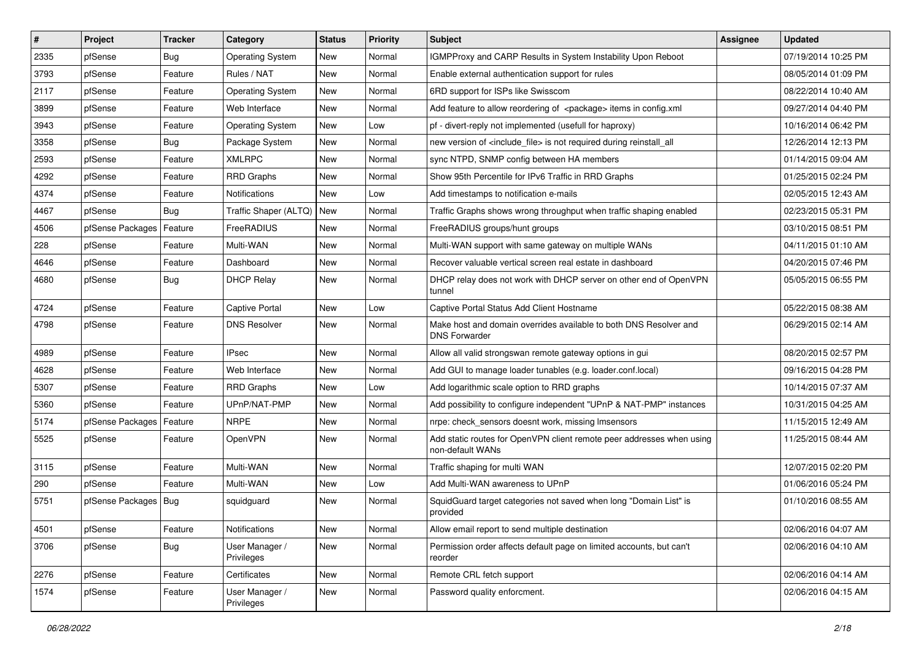| $\vert$ # | Project                | <b>Tracker</b> | Category                     | <b>Status</b> | <b>Priority</b> | <b>Subject</b>                                                                            | <b>Assignee</b> | <b>Updated</b>      |
|-----------|------------------------|----------------|------------------------------|---------------|-----------------|-------------------------------------------------------------------------------------------|-----------------|---------------------|
| 2335      | pfSense                | Bug            | <b>Operating System</b>      | New           | Normal          | IGMPProxy and CARP Results in System Instability Upon Reboot                              |                 | 07/19/2014 10:25 PM |
| 3793      | pfSense                | Feature        | Rules / NAT                  | <b>New</b>    | Normal          | Enable external authentication support for rules                                          |                 | 08/05/2014 01:09 PM |
| 2117      | pfSense                | Feature        | <b>Operating System</b>      | <b>New</b>    | Normal          | 6RD support for ISPs like Swisscom                                                        |                 | 08/22/2014 10:40 AM |
| 3899      | pfSense                | Feature        | Web Interface                | <b>New</b>    | Normal          | Add feature to allow reordering of <package> items in config.xml</package>                |                 | 09/27/2014 04:40 PM |
| 3943      | pfSense                | Feature        | <b>Operating System</b>      | <b>New</b>    | Low             | pf - divert-reply not implemented (usefull for haproxy)                                   |                 | 10/16/2014 06:42 PM |
| 3358      | pfSense                | Bug            | Package System               | New           | Normal          | new version of <include file=""> is not required during reinstall all</include>           |                 | 12/26/2014 12:13 PM |
| 2593      | pfSense                | Feature        | <b>XMLRPC</b>                | <b>New</b>    | Normal          | sync NTPD, SNMP config between HA members                                                 |                 | 01/14/2015 09:04 AM |
| 4292      | pfSense                | Feature        | <b>RRD Graphs</b>            | <b>New</b>    | Normal          | Show 95th Percentile for IPv6 Traffic in RRD Graphs                                       |                 | 01/25/2015 02:24 PM |
| 4374      | pfSense                | Feature        | Notifications                | <b>New</b>    | Low             | Add timestamps to notification e-mails                                                    |                 | 02/05/2015 12:43 AM |
| 4467      | pfSense                | Bug            | Traffic Shaper (ALTQ)        | New           | Normal          | Traffic Graphs shows wrong throughput when traffic shaping enabled                        |                 | 02/23/2015 05:31 PM |
| 4506      | pfSense Packages       | Feature        | FreeRADIUS                   | <b>New</b>    | Normal          | FreeRADIUS groups/hunt groups                                                             |                 | 03/10/2015 08:51 PM |
| 228       | pfSense                | Feature        | Multi-WAN                    | <b>New</b>    | Normal          | Multi-WAN support with same gateway on multiple WANs                                      |                 | 04/11/2015 01:10 AM |
| 4646      | pfSense                | Feature        | Dashboard                    | <b>New</b>    | Normal          | Recover valuable vertical screen real estate in dashboard                                 |                 | 04/20/2015 07:46 PM |
| 4680      | pfSense                | <b>Bug</b>     | <b>DHCP Relay</b>            | <b>New</b>    | Normal          | DHCP relay does not work with DHCP server on other end of OpenVPN<br>tunnel               |                 | 05/05/2015 06:55 PM |
| 4724      | pfSense                | Feature        | Captive Portal               | <b>New</b>    | Low             | Captive Portal Status Add Client Hostname                                                 |                 | 05/22/2015 08:38 AM |
| 4798      | pfSense                | Feature        | <b>DNS Resolver</b>          | <b>New</b>    | Normal          | Make host and domain overrides available to both DNS Resolver and<br><b>DNS Forwarder</b> |                 | 06/29/2015 02:14 AM |
| 4989      | pfSense                | Feature        | <b>IPsec</b>                 | <b>New</b>    | Normal          | Allow all valid strongswan remote gateway options in gui                                  |                 | 08/20/2015 02:57 PM |
| 4628      | pfSense                | Feature        | Web Interface                | <b>New</b>    | Normal          | Add GUI to manage loader tunables (e.g. loader.conf.local)                                |                 | 09/16/2015 04:28 PM |
| 5307      | pfSense                | Feature        | <b>RRD Graphs</b>            | <b>New</b>    | Low             | Add logarithmic scale option to RRD graphs                                                |                 | 10/14/2015 07:37 AM |
| 5360      | pfSense                | Feature        | UPnP/NAT-PMP                 | New           | Normal          | Add possibility to configure independent "UPnP & NAT-PMP" instances                       |                 | 10/31/2015 04:25 AM |
| 5174      | pfSense Packages       | Feature        | <b>NRPE</b>                  | New           | Normal          | nrpe: check_sensors doesnt work, missing Imsensors                                        |                 | 11/15/2015 12:49 AM |
| 5525      | pfSense                | Feature        | OpenVPN                      | <b>New</b>    | Normal          | Add static routes for OpenVPN client remote peer addresses when using<br>non-default WANs |                 | 11/25/2015 08:44 AM |
| 3115      | pfSense                | Feature        | Multi-WAN                    | <b>New</b>    | Normal          | Traffic shaping for multi WAN                                                             |                 | 12/07/2015 02:20 PM |
| 290       | pfSense                | Feature        | Multi-WAN                    | <b>New</b>    | Low             | Add Multi-WAN awareness to UPnP                                                           |                 | 01/06/2016 05:24 PM |
| 5751      | pfSense Packages   Bug |                | squidguard                   | New           | Normal          | SquidGuard target categories not saved when long "Domain List" is<br>provided             |                 | 01/10/2016 08:55 AM |
| 4501      | pfSense                | Feature        | Notifications                | New           | Normal          | Allow email report to send multiple destination                                           |                 | 02/06/2016 04:07 AM |
| 3706      | pfSense                | <b>Bug</b>     | User Manager /<br>Privileges | New           | Normal          | Permission order affects default page on limited accounts, but can't<br>reorder           |                 | 02/06/2016 04:10 AM |
| 2276      | pfSense                | Feature        | Certificates                 | New           | Normal          | Remote CRL fetch support                                                                  |                 | 02/06/2016 04:14 AM |
| 1574      | pfSense                | Feature        | User Manager /<br>Privileges | New           | Normal          | Password quality enforcment.                                                              |                 | 02/06/2016 04:15 AM |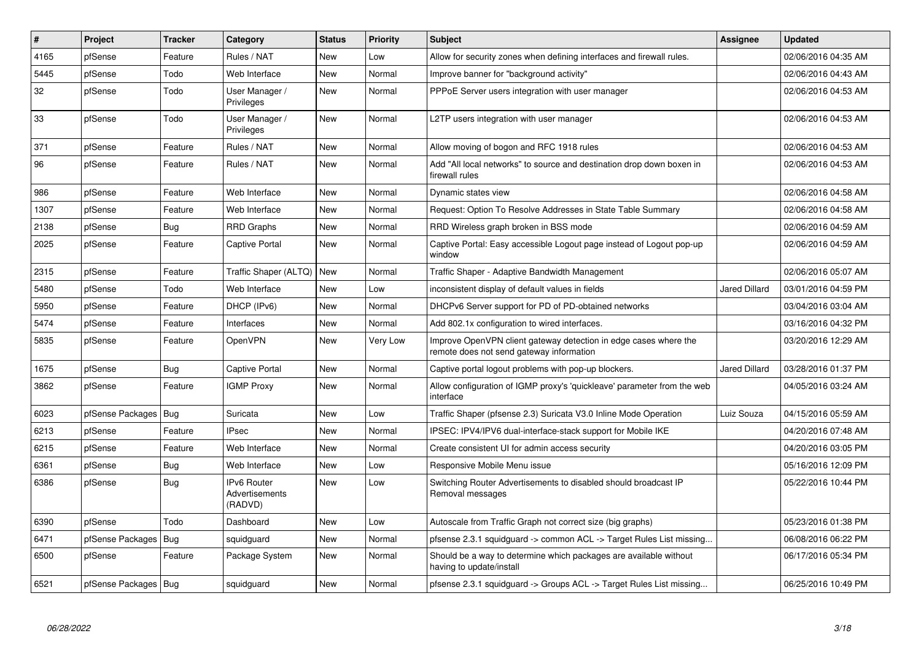| $\pmb{\sharp}$ | Project                | <b>Tracker</b> | Category                                 | <b>Status</b> | <b>Priority</b> | <b>Subject</b>                                                                                               | Assignee             | <b>Updated</b>      |
|----------------|------------------------|----------------|------------------------------------------|---------------|-----------------|--------------------------------------------------------------------------------------------------------------|----------------------|---------------------|
| 4165           | pfSense                | Feature        | Rules / NAT                              | <b>New</b>    | Low             | Allow for security zones when defining interfaces and firewall rules.                                        |                      | 02/06/2016 04:35 AM |
| 5445           | pfSense                | Todo           | Web Interface                            | <b>New</b>    | Normal          | Improve banner for "background activity"                                                                     |                      | 02/06/2016 04:43 AM |
| 32             | pfSense                | Todo           | User Manager /<br>Privileges             | <b>New</b>    | Normal          | PPPoE Server users integration with user manager                                                             |                      | 02/06/2016 04:53 AM |
| 33             | pfSense                | Todo           | User Manager /<br>Privileges             | New           | Normal          | L2TP users integration with user manager                                                                     |                      | 02/06/2016 04:53 AM |
| 371            | pfSense                | Feature        | Rules / NAT                              | <b>New</b>    | Normal          | Allow moving of bogon and RFC 1918 rules                                                                     |                      | 02/06/2016 04:53 AM |
| 96             | pfSense                | Feature        | Rules / NAT                              | <b>New</b>    | Normal          | Add "All local networks" to source and destination drop down boxen in<br>firewall rules                      |                      | 02/06/2016 04:53 AM |
| 986            | pfSense                | Feature        | Web Interface                            | <b>New</b>    | Normal          | Dynamic states view                                                                                          |                      | 02/06/2016 04:58 AM |
| 1307           | pfSense                | Feature        | Web Interface                            | <b>New</b>    | Normal          | Request: Option To Resolve Addresses in State Table Summary                                                  |                      | 02/06/2016 04:58 AM |
| 2138           | pfSense                | Bug            | RRD Graphs                               | New           | Normal          | RRD Wireless graph broken in BSS mode                                                                        |                      | 02/06/2016 04:59 AM |
| 2025           | pfSense                | Feature        | <b>Captive Portal</b>                    | New           | Normal          | Captive Portal: Easy accessible Logout page instead of Logout pop-up<br>window                               |                      | 02/06/2016 04:59 AM |
| 2315           | pfSense                | Feature        | Traffic Shaper (ALTQ)   New              |               | Normal          | Traffic Shaper - Adaptive Bandwidth Management                                                               |                      | 02/06/2016 05:07 AM |
| 5480           | pfSense                | Todo           | Web Interface                            | New           | Low             | inconsistent display of default values in fields                                                             | <b>Jared Dillard</b> | 03/01/2016 04:59 PM |
| 5950           | pfSense                | Feature        | DHCP (IPv6)                              | <b>New</b>    | Normal          | DHCPv6 Server support for PD of PD-obtained networks                                                         |                      | 03/04/2016 03:04 AM |
| 5474           | pfSense                | Feature        | Interfaces                               | <b>New</b>    | Normal          | Add 802.1x configuration to wired interfaces.                                                                |                      | 03/16/2016 04:32 PM |
| 5835           | pfSense                | Feature        | <b>OpenVPN</b>                           | New           | Very Low        | Improve OpenVPN client gateway detection in edge cases where the<br>remote does not send gateway information |                      | 03/20/2016 12:29 AM |
| 1675           | pfSense                | Bug            | <b>Captive Portal</b>                    | <b>New</b>    | Normal          | Captive portal logout problems with pop-up blockers.                                                         | <b>Jared Dillard</b> | 03/28/2016 01:37 PM |
| 3862           | pfSense                | Feature        | <b>IGMP Proxy</b>                        | New           | Normal          | Allow configuration of IGMP proxy's 'quickleave' parameter from the web<br>interface                         |                      | 04/05/2016 03:24 AM |
| 6023           | pfSense Packages   Bug |                | Suricata                                 | <b>New</b>    | Low             | Traffic Shaper (pfsense 2.3) Suricata V3.0 Inline Mode Operation                                             | Luiz Souza           | 04/15/2016 05:59 AM |
| 6213           | pfSense                | Feature        | <b>IPsec</b>                             | New           | Normal          | IPSEC: IPV4/IPV6 dual-interface-stack support for Mobile IKE                                                 |                      | 04/20/2016 07:48 AM |
| 6215           | pfSense                | Feature        | Web Interface                            | <b>New</b>    | Normal          | Create consistent UI for admin access security                                                               |                      | 04/20/2016 03:05 PM |
| 6361           | pfSense                | Bug            | Web Interface                            | <b>New</b>    | Low             | Responsive Mobile Menu issue                                                                                 |                      | 05/16/2016 12:09 PM |
| 6386           | pfSense                | Bug            | IPv6 Router<br>Advertisements<br>(RADVD) | New           | Low             | Switching Router Advertisements to disabled should broadcast IP<br>Removal messages                          |                      | 05/22/2016 10:44 PM |
| 6390           | pfSense                | Todo           | Dashboard                                | New           | Low             | Autoscale from Traffic Graph not correct size (big graphs)                                                   |                      | 05/23/2016 01:38 PM |
| 6471           | pfSense Packages   Bug |                | squidguard                               | <b>New</b>    | Normal          | pfsense 2.3.1 squidguard -> common ACL -> Target Rules List missing                                          |                      | 06/08/2016 06:22 PM |
| 6500           | pfSense                | Feature        | Package System                           | New           | Normal          | Should be a way to determine which packages are available without<br>having to update/install                |                      | 06/17/2016 05:34 PM |
| 6521           | pfSense Packages   Bug |                | squidguard                               | New           | Normal          | pfsense 2.3.1 squidguard -> Groups ACL -> Target Rules List missing                                          |                      | 06/25/2016 10:49 PM |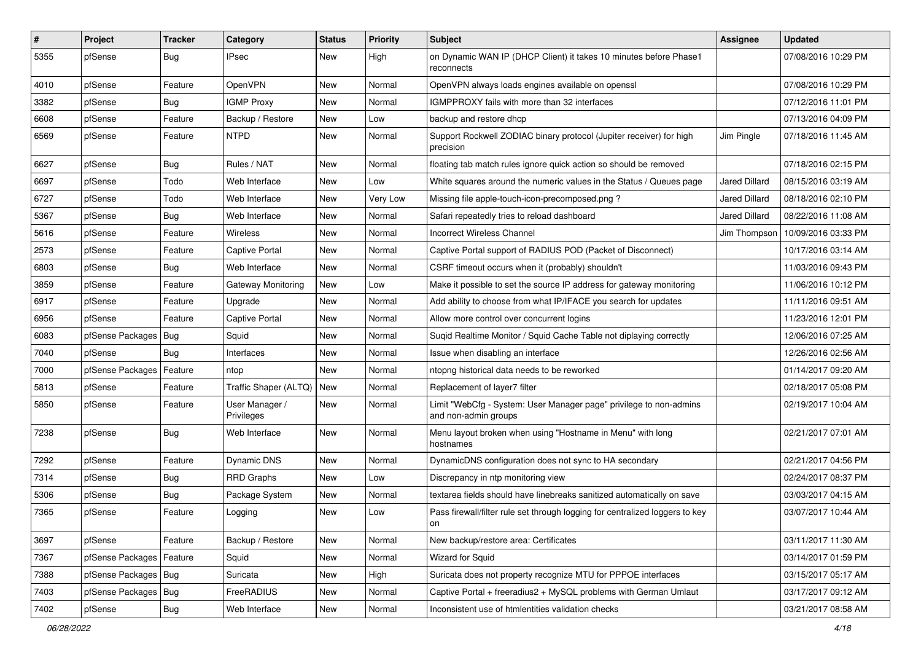| $\vert$ # | Project                | <b>Tracker</b> | Category                     | <b>Status</b> | <b>Priority</b> | <b>Subject</b>                                                                             | Assignee             | <b>Updated</b>                     |
|-----------|------------------------|----------------|------------------------------|---------------|-----------------|--------------------------------------------------------------------------------------------|----------------------|------------------------------------|
| 5355      | pfSense                | Bug            | IPsec                        | New           | High            | on Dynamic WAN IP (DHCP Client) it takes 10 minutes before Phase1<br>reconnects            |                      | 07/08/2016 10:29 PM                |
| 4010      | pfSense                | Feature        | OpenVPN                      | New           | Normal          | OpenVPN always loads engines available on openssl                                          |                      | 07/08/2016 10:29 PM                |
| 3382      | pfSense                | Bug            | <b>IGMP Proxy</b>            | New           | Normal          | IGMPPROXY fails with more than 32 interfaces                                               |                      | 07/12/2016 11:01 PM                |
| 6608      | pfSense                | Feature        | Backup / Restore             | <b>New</b>    | Low             | backup and restore dhcp                                                                    |                      | 07/13/2016 04:09 PM                |
| 6569      | pfSense                | Feature        | <b>NTPD</b>                  | New           | Normal          | Support Rockwell ZODIAC binary protocol (Jupiter receiver) for high<br>precision           | Jim Pingle           | 07/18/2016 11:45 AM                |
| 6627      | pfSense                | Bug            | Rules / NAT                  | <b>New</b>    | Normal          | floating tab match rules ignore quick action so should be removed                          |                      | 07/18/2016 02:15 PM                |
| 6697      | pfSense                | Todo           | Web Interface                | New           | Low             | White squares around the numeric values in the Status / Queues page                        | Jared Dillard        | 08/15/2016 03:19 AM                |
| 6727      | pfSense                | Todo           | Web Interface                | New           | Very Low        | Missing file apple-touch-icon-precomposed.png?                                             | Jared Dillard        | 08/18/2016 02:10 PM                |
| 5367      | pfSense                | Bug            | Web Interface                | New           | Normal          | Safari repeatedly tries to reload dashboard                                                | <b>Jared Dillard</b> | 08/22/2016 11:08 AM                |
| 5616      | pfSense                | Feature        | <b>Wireless</b>              | New           | Normal          | <b>Incorrect Wireless Channel</b>                                                          |                      | Jim Thompson   10/09/2016 03:33 PM |
| 2573      | pfSense                | Feature        | <b>Captive Portal</b>        | <b>New</b>    | Normal          | Captive Portal support of RADIUS POD (Packet of Disconnect)                                |                      | 10/17/2016 03:14 AM                |
| 6803      | pfSense                | Bug            | Web Interface                | <b>New</b>    | Normal          | CSRF timeout occurs when it (probably) shouldn't                                           |                      | 11/03/2016 09:43 PM                |
| 3859      | pfSense                | Feature        | Gateway Monitoring           | <b>New</b>    | Low             | Make it possible to set the source IP address for gateway monitoring                       |                      | 11/06/2016 10:12 PM                |
| 6917      | pfSense                | Feature        | Upgrade                      | New           | Normal          | Add ability to choose from what IP/IFACE you search for updates                            |                      | 11/11/2016 09:51 AM                |
| 6956      | pfSense                | Feature        | <b>Captive Portal</b>        | <b>New</b>    | Normal          | Allow more control over concurrent logins                                                  |                      | 11/23/2016 12:01 PM                |
| 6083      | pfSense Packages       | Bug            | Squid                        | New           | Normal          | Suqid Realtime Monitor / Squid Cache Table not diplaying correctly                         |                      | 12/06/2016 07:25 AM                |
| 7040      | pfSense                | Bug            | Interfaces                   | New           | Normal          | Issue when disabling an interface                                                          |                      | 12/26/2016 02:56 AM                |
| 7000      | pfSense Packages       | Feature        | ntop                         | <b>New</b>    | Normal          | ntopng historical data needs to be reworked                                                |                      | 01/14/2017 09:20 AM                |
| 5813      | pfSense                | Feature        | Traffic Shaper (ALTQ)        | New           | Normal          | Replacement of layer7 filter                                                               |                      | 02/18/2017 05:08 PM                |
| 5850      | pfSense                | Feature        | User Manager /<br>Privileges | New           | Normal          | Limit "WebCfg - System: User Manager page" privilege to non-admins<br>and non-admin groups |                      | 02/19/2017 10:04 AM                |
| 7238      | pfSense                | Bug            | Web Interface                | New           | Normal          | Menu layout broken when using "Hostname in Menu" with long<br>hostnames                    |                      | 02/21/2017 07:01 AM                |
| 7292      | pfSense                | Feature        | Dynamic DNS                  | <b>New</b>    | Normal          | DynamicDNS configuration does not sync to HA secondary                                     |                      | 02/21/2017 04:56 PM                |
| 7314      | pfSense                | Bug            | <b>RRD Graphs</b>            | New           | Low             | Discrepancy in ntp monitoring view                                                         |                      | 02/24/2017 08:37 PM                |
| 5306      | pfSense                | Bug            | Package System               | New           | Normal          | textarea fields should have linebreaks sanitized automatically on save                     |                      | 03/03/2017 04:15 AM                |
| 7365      | pfSense                | Feature        | Logging                      | <b>New</b>    | Low             | Pass firewall/filter rule set through logging for centralized loggers to key<br>on         |                      | 03/07/2017 10:44 AM                |
| 3697      | pfSense                | Feature        | Backup / Restore             | New           | Normal          | New backup/restore area: Certificates                                                      |                      | 03/11/2017 11:30 AM                |
| 7367      | pfSense Packages       | Feature        | Squid                        | New           | Normal          | <b>Wizard for Squid</b>                                                                    |                      | 03/14/2017 01:59 PM                |
| 7388      | pfSense Packages   Bug |                | Suricata                     | New           | High            | Suricata does not property recognize MTU for PPPOE interfaces                              |                      | 03/15/2017 05:17 AM                |
| 7403      | pfSense Packages       | <b>Bug</b>     | FreeRADIUS                   | New           | Normal          | Captive Portal + freeradius2 + MySQL problems with German Umlaut                           |                      | 03/17/2017 09:12 AM                |
| 7402      | pfSense                | Bug            | Web Interface                | New           | Normal          | Inconsistent use of htmlentities validation checks                                         |                      | 03/21/2017 08:58 AM                |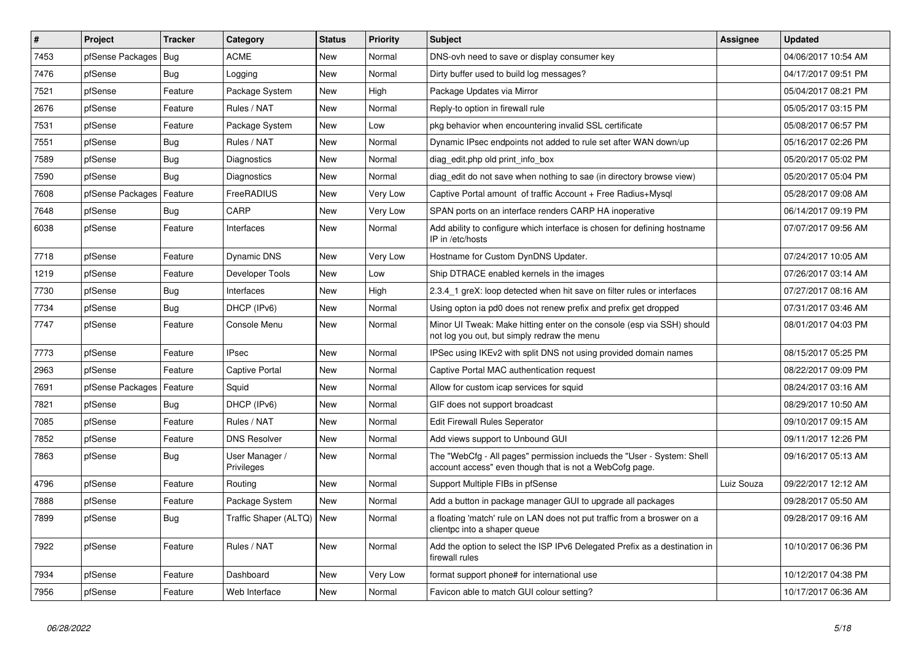| #    | Project                    | <b>Tracker</b> | Category                     | <b>Status</b> | <b>Priority</b> | <b>Subject</b>                                                                                                                    | <b>Assignee</b> | <b>Updated</b>      |
|------|----------------------------|----------------|------------------------------|---------------|-----------------|-----------------------------------------------------------------------------------------------------------------------------------|-----------------|---------------------|
| 7453 | pfSense Packages   Bug     |                | <b>ACME</b>                  | <b>New</b>    | Normal          | DNS-ovh need to save or display consumer key                                                                                      |                 | 04/06/2017 10:54 AM |
| 7476 | pfSense                    | Bug            | Logging                      | <b>New</b>    | Normal          | Dirty buffer used to build log messages?                                                                                          |                 | 04/17/2017 09:51 PM |
| 7521 | pfSense                    | Feature        | Package System               | <b>New</b>    | High            | Package Updates via Mirror                                                                                                        |                 | 05/04/2017 08:21 PM |
| 2676 | pfSense                    | Feature        | Rules / NAT                  | New           | Normal          | Reply-to option in firewall rule                                                                                                  |                 | 05/05/2017 03:15 PM |
| 7531 | pfSense                    | Feature        | Package System               | <b>New</b>    | Low             | pkg behavior when encountering invalid SSL certificate                                                                            |                 | 05/08/2017 06:57 PM |
| 7551 | pfSense                    | Bug            | Rules / NAT                  | <b>New</b>    | Normal          | Dynamic IPsec endpoints not added to rule set after WAN down/up                                                                   |                 | 05/16/2017 02:26 PM |
| 7589 | pfSense                    | Bug            | Diagnostics                  | <b>New</b>    | Normal          | diag edit.php old print info box                                                                                                  |                 | 05/20/2017 05:02 PM |
| 7590 | pfSense                    | Bug            | Diagnostics                  | New           | Normal          | diag edit do not save when nothing to sae (in directory browse view)                                                              |                 | 05/20/2017 05:04 PM |
| 7608 | pfSense Packages           | Feature        | FreeRADIUS                   | <b>New</b>    | Very Low        | Captive Portal amount of traffic Account + Free Radius+Mysql                                                                      |                 | 05/28/2017 09:08 AM |
| 7648 | pfSense                    | Bug            | CARP                         | <b>New</b>    | Very Low        | SPAN ports on an interface renders CARP HA inoperative                                                                            |                 | 06/14/2017 09:19 PM |
| 6038 | pfSense                    | Feature        | Interfaces                   | <b>New</b>    | Normal          | Add ability to configure which interface is chosen for defining hostname<br>IP in /etc/hosts                                      |                 | 07/07/2017 09:56 AM |
| 7718 | pfSense                    | Feature        | <b>Dynamic DNS</b>           | <b>New</b>    | Very Low        | Hostname for Custom DynDNS Updater.                                                                                               |                 | 07/24/2017 10:05 AM |
| 1219 | pfSense                    | Feature        | Developer Tools              | <b>New</b>    | Low             | Ship DTRACE enabled kernels in the images                                                                                         |                 | 07/26/2017 03:14 AM |
| 7730 | pfSense                    | Bug            | Interfaces                   | <b>New</b>    | High            | 2.3.4_1 greX: loop detected when hit save on filter rules or interfaces                                                           |                 | 07/27/2017 08:16 AM |
| 7734 | pfSense                    | Bug            | DHCP (IPv6)                  | <b>New</b>    | Normal          | Using opton ia pd0 does not renew prefix and prefix get dropped                                                                   |                 | 07/31/2017 03:46 AM |
| 7747 | pfSense                    | Feature        | Console Menu                 | New           | Normal          | Minor UI Tweak: Make hitting enter on the console (esp via SSH) should<br>not log you out, but simply redraw the menu             |                 | 08/01/2017 04:03 PM |
| 7773 | pfSense                    | Feature        | <b>IPsec</b>                 | New           | Normal          | IPSec using IKEv2 with split DNS not using provided domain names                                                                  |                 | 08/15/2017 05:25 PM |
| 2963 | pfSense                    | Feature        | <b>Captive Portal</b>        | New           | Normal          | Captive Portal MAC authentication request                                                                                         |                 | 08/22/2017 09:09 PM |
| 7691 | pfSense Packages   Feature |                | Squid                        | New           | Normal          | Allow for custom icap services for squid                                                                                          |                 | 08/24/2017 03:16 AM |
| 7821 | pfSense                    | Bug            | DHCP (IPv6)                  | New           | Normal          | GIF does not support broadcast                                                                                                    |                 | 08/29/2017 10:50 AM |
| 7085 | pfSense                    | Feature        | Rules / NAT                  | <b>New</b>    | Normal          | <b>Edit Firewall Rules Seperator</b>                                                                                              |                 | 09/10/2017 09:15 AM |
| 7852 | pfSense                    | Feature        | <b>DNS Resolver</b>          | New           | Normal          | Add views support to Unbound GUI                                                                                                  |                 | 09/11/2017 12:26 PM |
| 7863 | pfSense                    | Bug            | User Manager /<br>Privileges | New           | Normal          | The "WebCfg - All pages" permission inclueds the "User - System: Shell<br>account access" even though that is not a WebCofg page. |                 | 09/16/2017 05:13 AM |
| 4796 | pfSense                    | Feature        | Routing                      | New           | Normal          | Support Multiple FIBs in pfSense                                                                                                  | Luiz Souza      | 09/22/2017 12:12 AM |
| 7888 | pfSense                    | Feature        | Package System               | <b>New</b>    | Normal          | Add a button in package manager GUI to upgrade all packages                                                                       |                 | 09/28/2017 05:50 AM |
| 7899 | pfSense                    | Bug            | Traffic Shaper (ALTQ)   New  |               | Normal          | a floating 'match' rule on LAN does not put traffic from a broswer on a<br>clientpc into a shaper queue                           |                 | 09/28/2017 09:16 AM |
| 7922 | pfSense                    | Feature        | Rules / NAT                  | New           | Normal          | Add the option to select the ISP IPv6 Delegated Prefix as a destination in<br>firewall rules                                      |                 | 10/10/2017 06:36 PM |
| 7934 | pfSense                    | Feature        | Dashboard                    | <b>New</b>    | Very Low        | format support phone# for international use                                                                                       |                 | 10/12/2017 04:38 PM |
| 7956 | pfSense                    | Feature        | Web Interface                | New           | Normal          | Favicon able to match GUI colour setting?                                                                                         |                 | 10/17/2017 06:36 AM |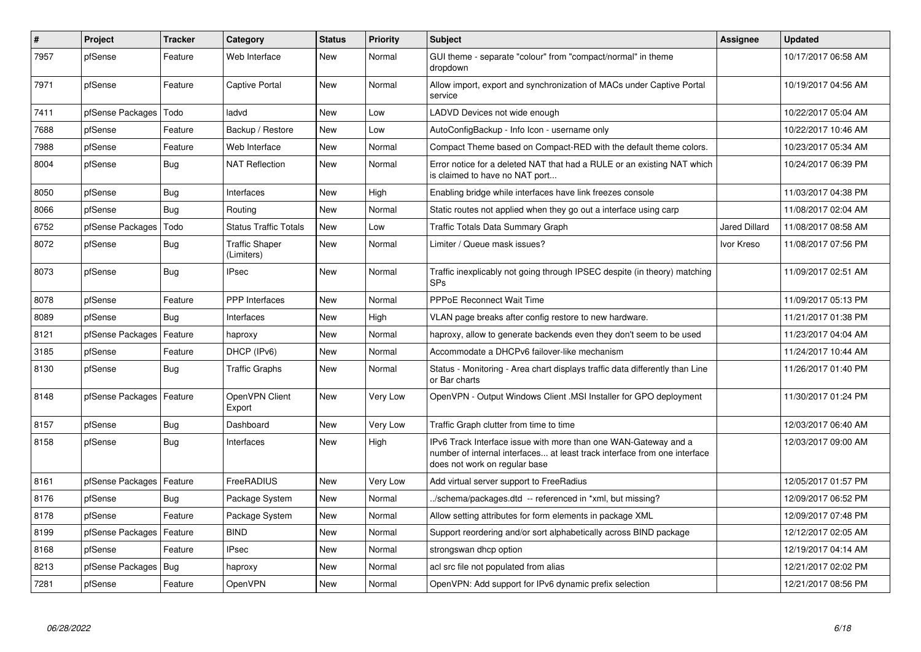| $\pmb{\#}$ | Project                    | <b>Tracker</b> | Category                            | <b>Status</b> | <b>Priority</b> | <b>Subject</b>                                                                                                                                                                | Assignee             | <b>Updated</b>      |
|------------|----------------------------|----------------|-------------------------------------|---------------|-----------------|-------------------------------------------------------------------------------------------------------------------------------------------------------------------------------|----------------------|---------------------|
| 7957       | pfSense                    | Feature        | Web Interface                       | <b>New</b>    | Normal          | GUI theme - separate "colour" from "compact/normal" in theme<br>dropdown                                                                                                      |                      | 10/17/2017 06:58 AM |
| 7971       | pfSense                    | Feature        | Captive Portal                      | New           | Normal          | Allow import, export and synchronization of MACs under Captive Portal<br>service                                                                                              |                      | 10/19/2017 04:56 AM |
| 7411       | pfSense Packages           | Todo           | ladvd                               | New           | Low             | LADVD Devices not wide enough                                                                                                                                                 |                      | 10/22/2017 05:04 AM |
| 7688       | pfSense                    | Feature        | Backup / Restore                    | <b>New</b>    | Low             | AutoConfigBackup - Info Icon - username only                                                                                                                                  |                      | 10/22/2017 10:46 AM |
| 7988       | pfSense                    | Feature        | Web Interface                       | <b>New</b>    | Normal          | Compact Theme based on Compact-RED with the default theme colors.                                                                                                             |                      | 10/23/2017 05:34 AM |
| 8004       | pfSense                    | Bug            | <b>NAT Reflection</b>               | <b>New</b>    | Normal          | Error notice for a deleted NAT that had a RULE or an existing NAT which<br>is claimed to have no NAT port                                                                     |                      | 10/24/2017 06:39 PM |
| 8050       | pfSense                    | <b>Bug</b>     | Interfaces                          | <b>New</b>    | High            | Enabling bridge while interfaces have link freezes console                                                                                                                    |                      | 11/03/2017 04:38 PM |
| 8066       | pfSense                    | <b>Bug</b>     | Routing                             | <b>New</b>    | Normal          | Static routes not applied when they go out a interface using carp                                                                                                             |                      | 11/08/2017 02:04 AM |
| 6752       | pfSense Packages           | Todo           | <b>Status Traffic Totals</b>        | <b>New</b>    | Low             | Traffic Totals Data Summary Graph                                                                                                                                             | <b>Jared Dillard</b> | 11/08/2017 08:58 AM |
| 8072       | pfSense                    | <b>Bug</b>     | <b>Traffic Shaper</b><br>(Limiters) | <b>New</b>    | Normal          | Limiter / Queue mask issues?                                                                                                                                                  | Ivor Kreso           | 11/08/2017 07:56 PM |
| 8073       | pfSense                    | Bug            | <b>IPsec</b>                        | <b>New</b>    | Normal          | Traffic inexplicably not going through IPSEC despite (in theory) matching<br><b>SPs</b>                                                                                       |                      | 11/09/2017 02:51 AM |
| 8078       | pfSense                    | Feature        | <b>PPP</b> Interfaces               | <b>New</b>    | Normal          | <b>PPPoE Reconnect Wait Time</b>                                                                                                                                              |                      | 11/09/2017 05:13 PM |
| 8089       | pfSense                    | Bug            | Interfaces                          | New           | High            | VLAN page breaks after config restore to new hardware.                                                                                                                        |                      | 11/21/2017 01:38 PM |
| 8121       | pfSense Packages           | Feature        | haproxy                             | New           | Normal          | haproxy, allow to generate backends even they don't seem to be used                                                                                                           |                      | 11/23/2017 04:04 AM |
| 3185       | pfSense                    | Feature        | DHCP (IPv6)                         | New           | Normal          | Accommodate a DHCPv6 failover-like mechanism                                                                                                                                  |                      | 11/24/2017 10:44 AM |
| 8130       | pfSense                    | Bug            | <b>Traffic Graphs</b>               | New           | Normal          | Status - Monitoring - Area chart displays traffic data differently than Line<br>or Bar charts                                                                                 |                      | 11/26/2017 01:40 PM |
| 8148       | pfSense Packages   Feature |                | OpenVPN Client<br>Export            | <b>New</b>    | Very Low        | OpenVPN - Output Windows Client .MSI Installer for GPO deployment                                                                                                             |                      | 11/30/2017 01:24 PM |
| 8157       | pfSense                    | Bug            | Dashboard                           | <b>New</b>    | Very Low        | Traffic Graph clutter from time to time                                                                                                                                       |                      | 12/03/2017 06:40 AM |
| 8158       | pfSense                    | <b>Bug</b>     | Interfaces                          | <b>New</b>    | High            | IPv6 Track Interface issue with more than one WAN-Gateway and a<br>number of internal interfaces at least track interface from one interface<br>does not work on regular base |                      | 12/03/2017 09:00 AM |
| 8161       | pfSense Packages           | Feature        | FreeRADIUS                          | <b>New</b>    | Very Low        | Add virtual server support to FreeRadius                                                                                                                                      |                      | 12/05/2017 01:57 PM |
| 8176       | pfSense                    | Bug            | Package System                      | New           | Normal          | ./schema/packages.dtd -- referenced in *xml, but missing?                                                                                                                     |                      | 12/09/2017 06:52 PM |
| 8178       | pfSense                    | Feature        | Package System                      | <b>New</b>    | Normal          | Allow setting attributes for form elements in package XML                                                                                                                     |                      | 12/09/2017 07:48 PM |
| 8199       | pfSense Packages           | Feature        | <b>BIND</b>                         | <b>New</b>    | Normal          | Support reordering and/or sort alphabetically across BIND package                                                                                                             |                      | 12/12/2017 02:05 AM |
| 8168       | pfSense                    | Feature        | IPsec                               | New           | Normal          | strongswan dhcp option                                                                                                                                                        |                      | 12/19/2017 04:14 AM |
| 8213       | pfSense Packages           | Bug            | haproxy                             | <b>New</b>    | Normal          | acl src file not populated from alias                                                                                                                                         |                      | 12/21/2017 02:02 PM |
| 7281       | pfSense                    | Feature        | OpenVPN                             | <b>New</b>    | Normal          | OpenVPN: Add support for IPv6 dynamic prefix selection                                                                                                                        |                      | 12/21/2017 08:56 PM |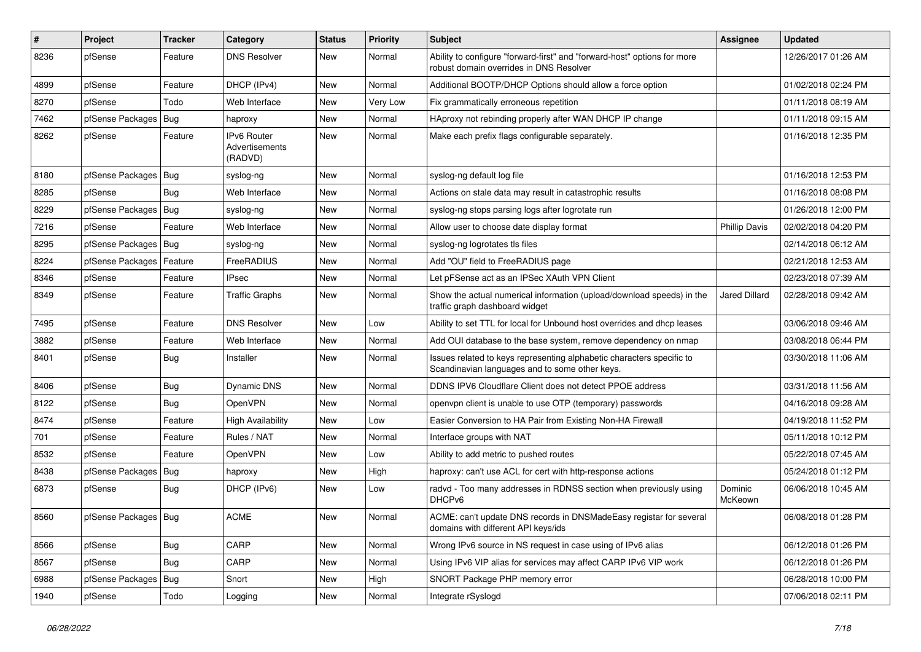| #    | Project                | Tracker    | Category                                 | <b>Status</b> | <b>Priority</b> | <b>Subject</b>                                                                                                          | <b>Assignee</b>      | <b>Updated</b>      |
|------|------------------------|------------|------------------------------------------|---------------|-----------------|-------------------------------------------------------------------------------------------------------------------------|----------------------|---------------------|
| 8236 | pfSense                | Feature    | <b>DNS Resolver</b>                      | <b>New</b>    | Normal          | Ability to configure "forward-first" and "forward-host" options for more<br>robust domain overrides in DNS Resolver     |                      | 12/26/2017 01:26 AM |
| 4899 | pfSense                | Feature    | DHCP (IPv4)                              | <b>New</b>    | Normal          | Additional BOOTP/DHCP Options should allow a force option                                                               |                      | 01/02/2018 02:24 PM |
| 8270 | pfSense                | Todo       | Web Interface                            | <b>New</b>    | Very Low        | Fix grammatically erroneous repetition                                                                                  |                      | 01/11/2018 08:19 AM |
| 7462 | pfSense Packages       | Bug        | haproxy                                  | <b>New</b>    | Normal          | HAproxy not rebinding properly after WAN DHCP IP change                                                                 |                      | 01/11/2018 09:15 AM |
| 8262 | pfSense                | Feature    | IPv6 Router<br>Advertisements<br>(RADVD) | <b>New</b>    | Normal          | Make each prefix flags configurable separately.                                                                         |                      | 01/16/2018 12:35 PM |
| 8180 | pfSense Packages       | Bug        | syslog-ng                                | New           | Normal          | syslog-ng default log file                                                                                              |                      | 01/16/2018 12:53 PM |
| 8285 | pfSense                | Bug        | Web Interface                            | <b>New</b>    | Normal          | Actions on stale data may result in catastrophic results                                                                |                      | 01/16/2018 08:08 PM |
| 8229 | pfSense Packages       | Bug        | syslog-ng                                | <b>New</b>    | Normal          | syslog-ng stops parsing logs after logrotate run                                                                        |                      | 01/26/2018 12:00 PM |
| 7216 | pfSense                | Feature    | Web Interface                            | <b>New</b>    | Normal          | Allow user to choose date display format                                                                                | <b>Phillip Davis</b> | 02/02/2018 04:20 PM |
| 8295 | pfSense Packages       | Bug        | syslog-ng                                | <b>New</b>    | Normal          | syslog-ng logrotates tls files                                                                                          |                      | 02/14/2018 06:12 AM |
| 8224 | pfSense Packages       | Feature    | FreeRADIUS                               | <b>New</b>    | Normal          | Add "OU" field to FreeRADIUS page                                                                                       |                      | 02/21/2018 12:53 AM |
| 8346 | pfSense                | Feature    | IPsec                                    | <b>New</b>    | Normal          | Let pFSense act as an IPSec XAuth VPN Client                                                                            |                      | 02/23/2018 07:39 AM |
| 8349 | pfSense                | Feature    | <b>Traffic Graphs</b>                    | <b>New</b>    | Normal          | Show the actual numerical information (upload/download speeds) in the<br>traffic graph dashboard widget                 | <b>Jared Dillard</b> | 02/28/2018 09:42 AM |
| 7495 | pfSense                | Feature    | <b>DNS Resolver</b>                      | <b>New</b>    | Low             | Ability to set TTL for local for Unbound host overrides and dhcp leases                                                 |                      | 03/06/2018 09:46 AM |
| 3882 | pfSense                | Feature    | Web Interface                            | New           | Normal          | Add OUI database to the base system, remove dependency on nmap                                                          |                      | 03/08/2018 06:44 PM |
| 8401 | pfSense                | <b>Bug</b> | Installer                                | <b>New</b>    | Normal          | Issues related to keys representing alphabetic characters specific to<br>Scandinavian languages and to some other keys. |                      | 03/30/2018 11:06 AM |
| 8406 | pfSense                | <b>Bug</b> | Dynamic DNS                              | <b>New</b>    | Normal          | DDNS IPV6 Cloudflare Client does not detect PPOE address                                                                |                      | 03/31/2018 11:56 AM |
| 8122 | pfSense                | Bug        | OpenVPN                                  | <b>New</b>    | Normal          | openypn client is unable to use OTP (temporary) passwords                                                               |                      | 04/16/2018 09:28 AM |
| 8474 | pfSense                | Feature    | <b>High Availability</b>                 | <b>New</b>    | Low             | Easier Conversion to HA Pair from Existing Non-HA Firewall                                                              |                      | 04/19/2018 11:52 PM |
| 701  | pfSense                | Feature    | Rules / NAT                              | <b>New</b>    | Normal          | Interface groups with NAT                                                                                               |                      | 05/11/2018 10:12 PM |
| 8532 | pfSense                | Feature    | OpenVPN                                  | <b>New</b>    | Low             | Ability to add metric to pushed routes                                                                                  |                      | 05/22/2018 07:45 AM |
| 8438 | pfSense Packages       | Bug        | haproxy                                  | <b>New</b>    | High            | haproxy: can't use ACL for cert with http-response actions                                                              |                      | 05/24/2018 01:12 PM |
| 6873 | pfSense                | <b>Bug</b> | DHCP (IPv6)                              | <b>New</b>    | Low             | radvd - Too many addresses in RDNSS section when previously using<br>DHCPv6                                             | Dominic<br>McKeown   | 06/06/2018 10:45 AM |
| 8560 | pfSense Packages   Bug |            | <b>ACME</b>                              | <b>New</b>    | Normal          | ACME: can't update DNS records in DNSMadeEasy registar for several<br>domains with different API keys/ids               |                      | 06/08/2018 01:28 PM |
| 8566 | pfSense                | Bug        | CARP                                     | New           | Normal          | Wrong IPv6 source in NS request in case using of IPv6 alias                                                             |                      | 06/12/2018 01:26 PM |
| 8567 | pfSense                | <b>Bug</b> | CARP                                     | New           | Normal          | Using IPv6 VIP alias for services may affect CARP IPv6 VIP work                                                         |                      | 06/12/2018 01:26 PM |
| 6988 | pfSense Packages       | Bug        | Snort                                    | New           | High            | SNORT Package PHP memory error                                                                                          |                      | 06/28/2018 10:00 PM |
| 1940 | pfSense                | Todo       | Logging                                  | New           | Normal          | Integrate rSyslogd                                                                                                      |                      | 07/06/2018 02:11 PM |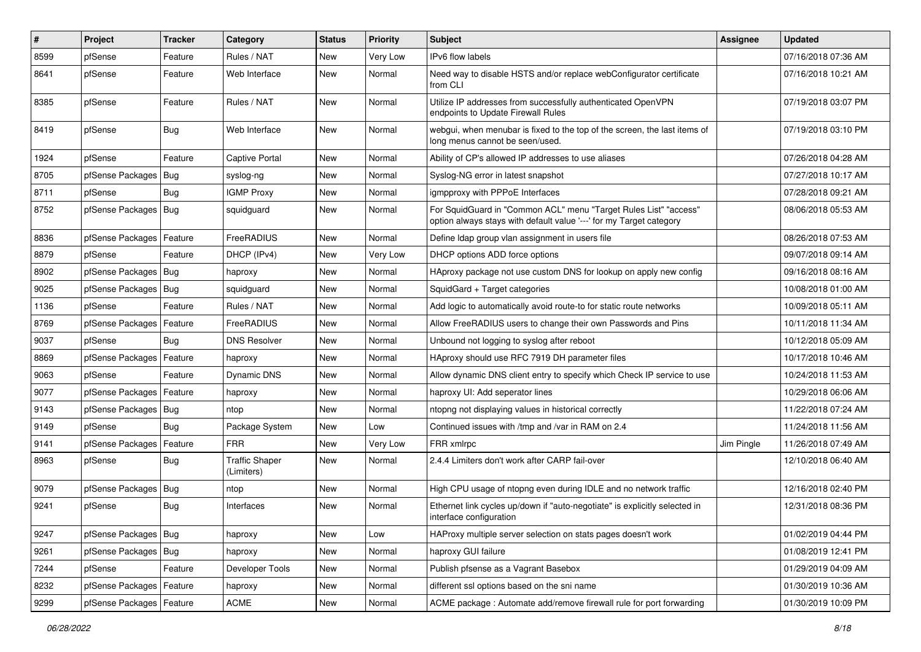| #    | Project                    | Tracker    | Category                            | <b>Status</b> | <b>Priority</b> | <b>Subject</b>                                                                                                                          | <b>Assignee</b> | <b>Updated</b>      |
|------|----------------------------|------------|-------------------------------------|---------------|-----------------|-----------------------------------------------------------------------------------------------------------------------------------------|-----------------|---------------------|
| 8599 | pfSense                    | Feature    | Rules / NAT                         | <b>New</b>    | Very Low        | IPv6 flow labels                                                                                                                        |                 | 07/16/2018 07:36 AM |
| 8641 | pfSense                    | Feature    | Web Interface                       | <b>New</b>    | Normal          | Need way to disable HSTS and/or replace webConfigurator certificate<br>from CLI                                                         |                 | 07/16/2018 10:21 AM |
| 8385 | pfSense                    | Feature    | Rules / NAT                         | <b>New</b>    | Normal          | Utilize IP addresses from successfully authenticated OpenVPN<br>endpoints to Update Firewall Rules                                      |                 | 07/19/2018 03:07 PM |
| 8419 | pfSense                    | Bug        | Web Interface                       | <b>New</b>    | Normal          | webgui, when menubar is fixed to the top of the screen, the last items of<br>long menus cannot be seen/used.                            |                 | 07/19/2018 03:10 PM |
| 1924 | pfSense                    | Feature    | Captive Portal                      | <b>New</b>    | Normal          | Ability of CP's allowed IP addresses to use aliases                                                                                     |                 | 07/26/2018 04:28 AM |
| 8705 | pfSense Packages           | Bug        | syslog-ng                           | <b>New</b>    | Normal          | Syslog-NG error in latest snapshot                                                                                                      |                 | 07/27/2018 10:17 AM |
| 8711 | pfSense                    | <b>Bug</b> | <b>IGMP Proxy</b>                   | <b>New</b>    | Normal          | igmpproxy with PPPoE Interfaces                                                                                                         |                 | 07/28/2018 09:21 AM |
| 8752 | pfSense Packages   Bug     |            | squidguard                          | <b>New</b>    | Normal          | For SquidGuard in "Common ACL" menu "Target Rules List" "access"<br>option always stays with default value '---' for my Target category |                 | 08/06/2018 05:53 AM |
| 8836 | pfSense Packages           | Feature    | FreeRADIUS                          | <b>New</b>    | Normal          | Define Idap group vlan assignment in users file                                                                                         |                 | 08/26/2018 07:53 AM |
| 8879 | pfSense                    | Feature    | DHCP (IPv4)                         | <b>New</b>    | Very Low        | DHCP options ADD force options                                                                                                          |                 | 09/07/2018 09:14 AM |
| 8902 | pfSense Packages   Bug     |            | haproxy                             | <b>New</b>    | Normal          | HAproxy package not use custom DNS for lookup on apply new config                                                                       |                 | 09/16/2018 08:16 AM |
| 9025 | pfSense Packages           | Bug        | squidguard                          | <b>New</b>    | Normal          | SquidGard + Target categories                                                                                                           |                 | 10/08/2018 01:00 AM |
| 1136 | pfSense                    | Feature    | Rules / NAT                         | <b>New</b>    | Normal          | Add logic to automatically avoid route-to for static route networks                                                                     |                 | 10/09/2018 05:11 AM |
| 8769 | pfSense Packages           | Feature    | FreeRADIUS                          | <b>New</b>    | Normal          | Allow FreeRADIUS users to change their own Passwords and Pins                                                                           |                 | 10/11/2018 11:34 AM |
| 9037 | pfSense                    | Bug        | <b>DNS Resolver</b>                 | <b>New</b>    | Normal          | Unbound not logging to syslog after reboot                                                                                              |                 | 10/12/2018 05:09 AM |
| 8869 | pfSense Packages           | Feature    | haproxy                             | <b>New</b>    | Normal          | HAproxy should use RFC 7919 DH parameter files                                                                                          |                 | 10/17/2018 10:46 AM |
| 9063 | pfSense                    | Feature    | Dynamic DNS                         | <b>New</b>    | Normal          | Allow dynamic DNS client entry to specify which Check IP service to use                                                                 |                 | 10/24/2018 11:53 AM |
| 9077 | pfSense Packages   Feature |            | haproxy                             | New           | Normal          | haproxy UI: Add seperator lines                                                                                                         |                 | 10/29/2018 06:06 AM |
| 9143 | pfSense Packages           | Bug        | ntop                                | <b>New</b>    | Normal          | ntopng not displaying values in historical correctly                                                                                    |                 | 11/22/2018 07:24 AM |
| 9149 | pfSense                    | Bug        | Package System                      | New           | Low             | Continued issues with /tmp and /var in RAM on 2.4                                                                                       |                 | 11/24/2018 11:56 AM |
| 9141 | pfSense Packages   Feature |            | <b>FRR</b>                          | <b>New</b>    | Very Low        | FRR xmlrpc                                                                                                                              | Jim Pingle      | 11/26/2018 07:49 AM |
| 8963 | pfSense                    | <b>Bug</b> | <b>Traffic Shaper</b><br>(Limiters) | <b>New</b>    | Normal          | 2.4.4 Limiters don't work after CARP fail-over                                                                                          |                 | 12/10/2018 06:40 AM |
| 9079 | pfSense Packages           | Bug        | ntop                                | New           | Normal          | High CPU usage of ntopng even during IDLE and no network traffic                                                                        |                 | 12/16/2018 02:40 PM |
| 9241 | pfSense                    | <b>Bug</b> | Interfaces                          | <b>New</b>    | Normal          | Ethernet link cycles up/down if "auto-negotiate" is explicitly selected in<br>interface configuration                                   |                 | 12/31/2018 08:36 PM |
| 9247 | pfSense Packages   Bug     |            | haproxy                             | New           | Low             | HAProxy multiple server selection on stats pages doesn't work                                                                           |                 | 01/02/2019 04:44 PM |
| 9261 | pfSense Packages           | Bug        | haproxy                             | New           | Normal          | haproxy GUI failure                                                                                                                     |                 | 01/08/2019 12:41 PM |
| 7244 | pfSense                    | Feature    | Developer Tools                     | New           | Normal          | Publish pfsense as a Vagrant Basebox                                                                                                    |                 | 01/29/2019 04:09 AM |
| 8232 | pfSense Packages           | Feature    | haproxy                             | New           | Normal          | different ssl options based on the sni name                                                                                             |                 | 01/30/2019 10:36 AM |
| 9299 | pfSense Packages           | Feature    | ACME                                | New           | Normal          | ACME package : Automate add/remove firewall rule for port forwarding                                                                    |                 | 01/30/2019 10:09 PM |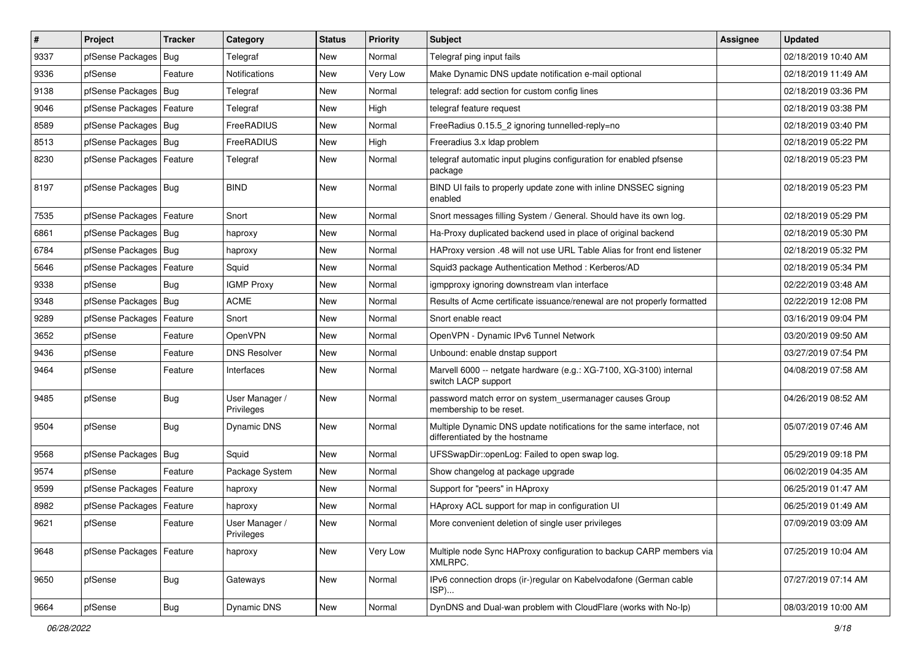| $\vert$ # | Project                    | <b>Tracker</b> | Category                     | <b>Status</b> | <b>Priority</b> | <b>Subject</b>                                                                                          | <b>Assignee</b> | <b>Updated</b>      |
|-----------|----------------------------|----------------|------------------------------|---------------|-----------------|---------------------------------------------------------------------------------------------------------|-----------------|---------------------|
| 9337      | pfSense Packages           | Bug            | Telegraf                     | New           | Normal          | Telegraf ping input fails                                                                               |                 | 02/18/2019 10:40 AM |
| 9336      | pfSense                    | Feature        | Notifications                | New           | Very Low        | Make Dynamic DNS update notification e-mail optional                                                    |                 | 02/18/2019 11:49 AM |
| 9138      | pfSense Packages           | <b>Bug</b>     | Telegraf                     | <b>New</b>    | Normal          | telegraf: add section for custom config lines                                                           |                 | 02/18/2019 03:36 PM |
| 9046      | pfSense Packages   Feature |                | Telegraf                     | <b>New</b>    | High            | telegraf feature request                                                                                |                 | 02/18/2019 03:38 PM |
| 8589      | pfSense Packages           | Bug            | FreeRADIUS                   | <b>New</b>    | Normal          | FreeRadius 0.15.5_2 ignoring tunnelled-reply=no                                                         |                 | 02/18/2019 03:40 PM |
| 8513      | pfSense Packages   Bug     |                | FreeRADIUS                   | <b>New</b>    | High            | Freeradius 3.x Idap problem                                                                             |                 | 02/18/2019 05:22 PM |
| 8230      | pfSense Packages   Feature |                | Telegraf                     | <b>New</b>    | Normal          | telegraf automatic input plugins configuration for enabled pfsense<br>package                           |                 | 02/18/2019 05:23 PM |
| 8197      | pfSense Packages   Bug     |                | <b>BIND</b>                  | <b>New</b>    | Normal          | BIND UI fails to properly update zone with inline DNSSEC signing<br>enabled                             |                 | 02/18/2019 05:23 PM |
| 7535      | pfSense Packages           | Feature        | Snort                        | <b>New</b>    | Normal          | Snort messages filling System / General. Should have its own log.                                       |                 | 02/18/2019 05:29 PM |
| 6861      | pfSense Packages   Bug     |                | haproxy                      | <b>New</b>    | Normal          | Ha-Proxy duplicated backend used in place of original backend                                           |                 | 02/18/2019 05:30 PM |
| 6784      | pfSense Packages           | Bug            | haproxy                      | New           | Normal          | HAProxy version .48 will not use URL Table Alias for front end listener                                 |                 | 02/18/2019 05:32 PM |
| 5646      | pfSense Packages           | Feature        | Squid                        | <b>New</b>    | Normal          | Squid3 package Authentication Method: Kerberos/AD                                                       |                 | 02/18/2019 05:34 PM |
| 9338      | pfSense                    | Bug            | <b>IGMP Proxy</b>            | <b>New</b>    | Normal          | igmpproxy ignoring downstream vlan interface                                                            |                 | 02/22/2019 03:48 AM |
| 9348      | pfSense Packages           | Bug            | ACME                         | <b>New</b>    | Normal          | Results of Acme certificate issuance/renewal are not properly formatted                                 |                 | 02/22/2019 12:08 PM |
| 9289      | pfSense Packages           | Feature        | Snort                        | <b>New</b>    | Normal          | Snort enable react                                                                                      |                 | 03/16/2019 09:04 PM |
| 3652      | pfSense                    | Feature        | OpenVPN                      | <b>New</b>    | Normal          | OpenVPN - Dynamic IPv6 Tunnel Network                                                                   |                 | 03/20/2019 09:50 AM |
| 9436      | pfSense                    | Feature        | <b>DNS Resolver</b>          | <b>New</b>    | Normal          | Unbound: enable dnstap support                                                                          |                 | 03/27/2019 07:54 PM |
| 9464      | pfSense                    | Feature        | Interfaces                   | <b>New</b>    | Normal          | Marvell 6000 -- netgate hardware (e.g.: XG-7100, XG-3100) internal<br>switch LACP support               |                 | 04/08/2019 07:58 AM |
| 9485      | pfSense                    | Bug            | User Manager /<br>Privileges | <b>New</b>    | Normal          | password match error on system usermanager causes Group<br>membership to be reset.                      |                 | 04/26/2019 08:52 AM |
| 9504      | pfSense                    | <b>Bug</b>     | Dynamic DNS                  | New           | Normal          | Multiple Dynamic DNS update notifications for the same interface, not<br>differentiated by the hostname |                 | 05/07/2019 07:46 AM |
| 9568      | pfSense Packages           | Bug            | Squid                        | <b>New</b>    | Normal          | UFSSwapDir::openLog: Failed to open swap log.                                                           |                 | 05/29/2019 09:18 PM |
| 9574      | pfSense                    | Feature        | Package System               | New           | Normal          | Show changelog at package upgrade                                                                       |                 | 06/02/2019 04:35 AM |
| 9599      | pfSense Packages           | Feature        | haproxy                      | <b>New</b>    | Normal          | Support for "peers" in HAproxy                                                                          |                 | 06/25/2019 01:47 AM |
| 8982      | pfSense Packages           | Feature        | haproxy                      | New           | Normal          | HAproxy ACL support for map in configuration UI                                                         |                 | 06/25/2019 01:49 AM |
| 9621      | pfSense                    | Feature        | User Manager /<br>Privileges | New           | Normal          | More convenient deletion of single user privileges                                                      |                 | 07/09/2019 03:09 AM |
| 9648      | pfSense Packages   Feature |                | haproxy                      | New           | Very Low        | Multiple node Sync HAProxy configuration to backup CARP members via<br>XMLRPC.                          |                 | 07/25/2019 10:04 AM |
| 9650      | pfSense                    | <b>Bug</b>     | Gateways                     | New           | Normal          | IPv6 connection drops (ir-)regular on Kabelvodafone (German cable<br>ISP)                               |                 | 07/27/2019 07:14 AM |
| 9664      | pfSense                    | Bug            | Dynamic DNS                  | New           | Normal          | DynDNS and Dual-wan problem with CloudFlare (works with No-Ip)                                          |                 | 08/03/2019 10:00 AM |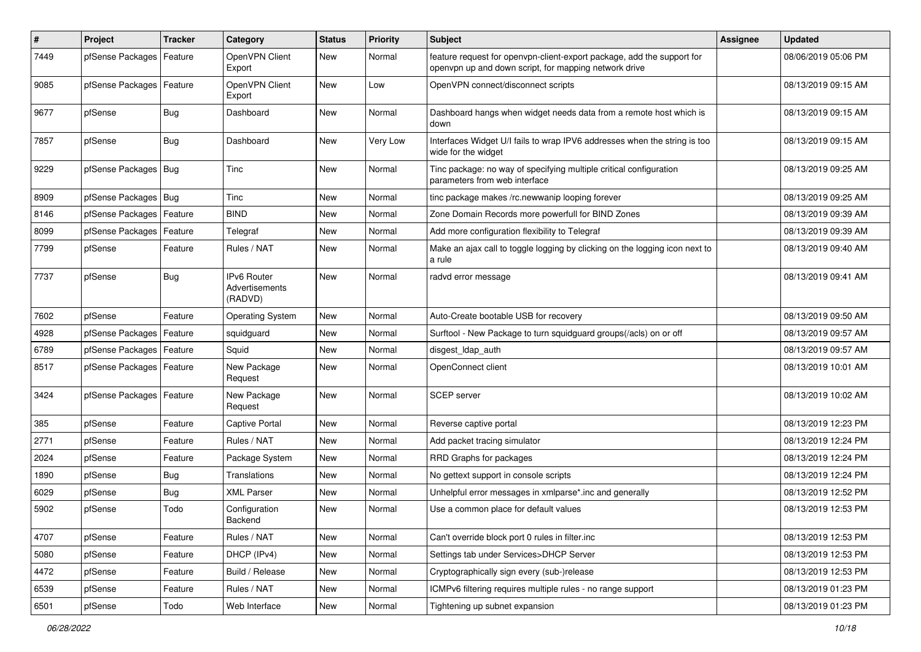| $\pmb{\#}$ | Project                    | <b>Tracker</b> | Category                                        | <b>Status</b> | <b>Priority</b> | <b>Subject</b>                                                                                                                  | <b>Assignee</b> | <b>Updated</b>      |
|------------|----------------------------|----------------|-------------------------------------------------|---------------|-----------------|---------------------------------------------------------------------------------------------------------------------------------|-----------------|---------------------|
| 7449       | pfSense Packages           | Feature        | OpenVPN Client<br>Export                        | New           | Normal          | feature request for openvpn-client-export package, add the support for<br>openvpn up and down script, for mapping network drive |                 | 08/06/2019 05:06 PM |
| 9085       | pfSense Packages           | Feature        | OpenVPN Client<br>Export                        | <b>New</b>    | Low             | OpenVPN connect/disconnect scripts                                                                                              |                 | 08/13/2019 09:15 AM |
| 9677       | pfSense                    | <b>Bug</b>     | Dashboard                                       | <b>New</b>    | Normal          | Dashboard hangs when widget needs data from a remote host which is<br>down                                                      |                 | 08/13/2019 09:15 AM |
| 7857       | pfSense                    | Bug            | Dashboard                                       | New           | Very Low        | Interfaces Widget U/I fails to wrap IPV6 addresses when the string is too<br>wide for the widget                                |                 | 08/13/2019 09:15 AM |
| 9229       | pfSense Packages   Bug     |                | Tinc                                            | <b>New</b>    | Normal          | Tinc package: no way of specifying multiple critical configuration<br>parameters from web interface                             |                 | 08/13/2019 09:25 AM |
| 8909       | pfSense Packages   Bug     |                | Tinc                                            | New           | Normal          | tinc package makes /rc.newwanip looping forever                                                                                 |                 | 08/13/2019 09:25 AM |
| 8146       | pfSense Packages           | Feature        | <b>BIND</b>                                     | New           | Normal          | Zone Domain Records more powerfull for BIND Zones                                                                               |                 | 08/13/2019 09:39 AM |
| 8099       | pfSense Packages           | Feature        | Telegraf                                        | <b>New</b>    | Normal          | Add more configuration flexibility to Telegraf                                                                                  |                 | 08/13/2019 09:39 AM |
| 7799       | pfSense                    | Feature        | Rules / NAT                                     | New           | Normal          | Make an ajax call to toggle logging by clicking on the logging icon next to<br>a rule                                           |                 | 08/13/2019 09:40 AM |
| 7737       | pfSense                    | <b>Bug</b>     | <b>IPv6 Router</b><br>Advertisements<br>(RADVD) | New           | Normal          | radvd error message                                                                                                             |                 | 08/13/2019 09:41 AM |
| 7602       | pfSense                    | Feature        | <b>Operating System</b>                         | <b>New</b>    | Normal          | Auto-Create bootable USB for recovery                                                                                           |                 | 08/13/2019 09:50 AM |
| 4928       | pfSense Packages           | Feature        | squidguard                                      | New           | Normal          | Surftool - New Package to turn squidguard groups(/acls) on or off                                                               |                 | 08/13/2019 09:57 AM |
| 6789       | pfSense Packages           | Feature        | Squid                                           | <b>New</b>    | Normal          | disgest_ldap_auth                                                                                                               |                 | 08/13/2019 09:57 AM |
| 8517       | pfSense Packages   Feature |                | New Package<br>Request                          | New           | Normal          | OpenConnect client                                                                                                              |                 | 08/13/2019 10:01 AM |
| 3424       | pfSense Packages   Feature |                | New Package<br>Request                          | New           | Normal          | SCEP server                                                                                                                     |                 | 08/13/2019 10:02 AM |
| 385        | pfSense                    | Feature        | Captive Portal                                  | <b>New</b>    | Normal          | Reverse captive portal                                                                                                          |                 | 08/13/2019 12:23 PM |
| 2771       | pfSense                    | Feature        | Rules / NAT                                     | New           | Normal          | Add packet tracing simulator                                                                                                    |                 | 08/13/2019 12:24 PM |
| 2024       | pfSense                    | Feature        | Package System                                  | New           | Normal          | RRD Graphs for packages                                                                                                         |                 | 08/13/2019 12:24 PM |
| 1890       | pfSense                    | <b>Bug</b>     | Translations                                    | <b>New</b>    | Normal          | No gettext support in console scripts                                                                                           |                 | 08/13/2019 12:24 PM |
| 6029       | pfSense                    | <b>Bug</b>     | XML Parser                                      | New           | Normal          | Unhelpful error messages in xmlparse*.inc and generally                                                                         |                 | 08/13/2019 12:52 PM |
| 5902       | pfSense                    | Todo           | Configuration<br>Backend                        | New           | Normal          | Use a common place for default values                                                                                           |                 | 08/13/2019 12:53 PM |
| 4707       | pfSense                    | Feature        | Rules / NAT                                     | New           | Normal          | Can't override block port 0 rules in filter.inc                                                                                 |                 | 08/13/2019 12:53 PM |
| 5080       | pfSense                    | Feature        | DHCP (IPv4)                                     | New           | Normal          | Settings tab under Services>DHCP Server                                                                                         |                 | 08/13/2019 12:53 PM |
| 4472       | pfSense                    | Feature        | Build / Release                                 | New           | Normal          | Cryptographically sign every (sub-)release                                                                                      |                 | 08/13/2019 12:53 PM |
| 6539       | pfSense                    | Feature        | Rules / NAT                                     | New           | Normal          | ICMPv6 filtering requires multiple rules - no range support                                                                     |                 | 08/13/2019 01:23 PM |
| 6501       | pfSense                    | Todo           | Web Interface                                   | New           | Normal          | Tightening up subnet expansion                                                                                                  |                 | 08/13/2019 01:23 PM |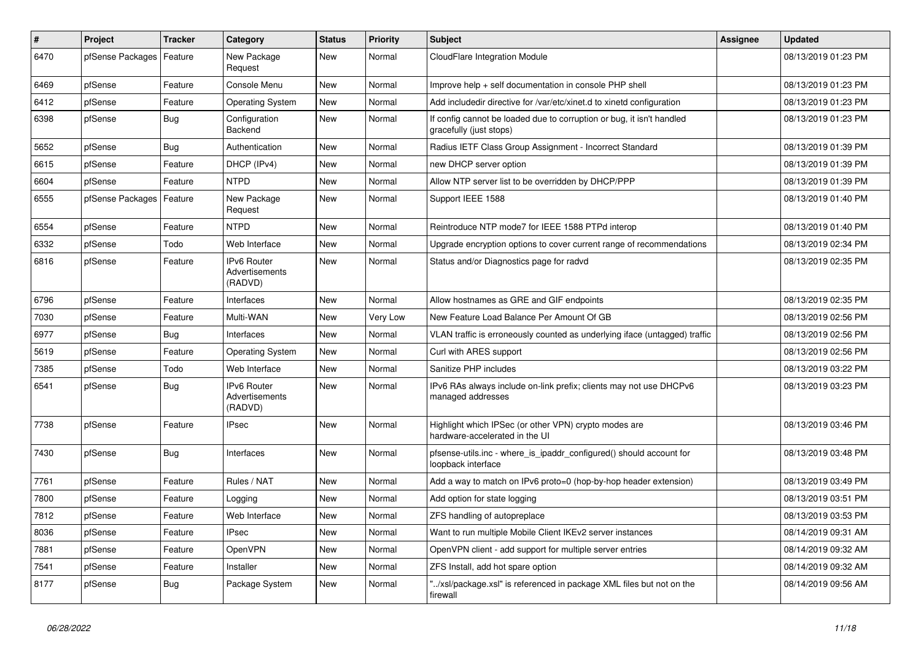| $\vert$ # | Project          | <b>Tracker</b> | Category                                        | <b>Status</b> | <b>Priority</b> | <b>Subject</b>                                                                                   | <b>Assignee</b> | <b>Updated</b>      |
|-----------|------------------|----------------|-------------------------------------------------|---------------|-----------------|--------------------------------------------------------------------------------------------------|-----------------|---------------------|
| 6470      | pfSense Packages | Feature        | New Package<br>Request                          | <b>New</b>    | Normal          | CloudFlare Integration Module                                                                    |                 | 08/13/2019 01:23 PM |
| 6469      | pfSense          | Feature        | Console Menu                                    | <b>New</b>    | Normal          | Improve help + self documentation in console PHP shell                                           |                 | 08/13/2019 01:23 PM |
| 6412      | pfSense          | Feature        | <b>Operating System</b>                         | <b>New</b>    | Normal          | Add includedir directive for /var/etc/xinet.d to xinetd configuration                            |                 | 08/13/2019 01:23 PM |
| 6398      | pfSense          | Bug            | Configuration<br>Backend                        | <b>New</b>    | Normal          | If config cannot be loaded due to corruption or bug, it isn't handled<br>gracefully (just stops) |                 | 08/13/2019 01:23 PM |
| 5652      | pfSense          | Bug            | Authentication                                  | <b>New</b>    | Normal          | Radius IETF Class Group Assignment - Incorrect Standard                                          |                 | 08/13/2019 01:39 PM |
| 6615      | pfSense          | Feature        | DHCP (IPv4)                                     | <b>New</b>    | Normal          | new DHCP server option                                                                           |                 | 08/13/2019 01:39 PM |
| 6604      | pfSense          | Feature        | <b>NTPD</b>                                     | <b>New</b>    | Normal          | Allow NTP server list to be overridden by DHCP/PPP                                               |                 | 08/13/2019 01:39 PM |
| 6555      | pfSense Packages | Feature        | New Package<br>Request                          | <b>New</b>    | Normal          | Support IEEE 1588                                                                                |                 | 08/13/2019 01:40 PM |
| 6554      | pfSense          | Feature        | <b>NTPD</b>                                     | <b>New</b>    | Normal          | Reintroduce NTP mode7 for IEEE 1588 PTPd interop                                                 |                 | 08/13/2019 01:40 PM |
| 6332      | pfSense          | Todo           | Web Interface                                   | <b>New</b>    | Normal          | Upgrade encryption options to cover current range of recommendations                             |                 | 08/13/2019 02:34 PM |
| 6816      | pfSense          | Feature        | IPv6 Router<br>Advertisements<br>(RADVD)        | New           | Normal          | Status and/or Diagnostics page for radvd                                                         |                 | 08/13/2019 02:35 PM |
| 6796      | pfSense          | Feature        | Interfaces                                      | <b>New</b>    | Normal          | Allow hostnames as GRE and GIF endpoints                                                         |                 | 08/13/2019 02:35 PM |
| 7030      | pfSense          | Feature        | Multi-WAN                                       | <b>New</b>    | Very Low        | New Feature Load Balance Per Amount Of GB                                                        |                 | 08/13/2019 02:56 PM |
| 6977      | pfSense          | Bug            | Interfaces                                      | <b>New</b>    | Normal          | VLAN traffic is erroneously counted as underlying iface (untagged) traffic                       |                 | 08/13/2019 02:56 PM |
| 5619      | pfSense          | Feature        | <b>Operating System</b>                         | <b>New</b>    | Normal          | Curl with ARES support                                                                           |                 | 08/13/2019 02:56 PM |
| 7385      | pfSense          | Todo           | Web Interface                                   | New           | Normal          | Sanitize PHP includes                                                                            |                 | 08/13/2019 03:22 PM |
| 6541      | pfSense          | Bug            | <b>IPv6 Router</b><br>Advertisements<br>(RADVD) | <b>New</b>    | Normal          | IPv6 RAs always include on-link prefix; clients may not use DHCPv6<br>managed addresses          |                 | 08/13/2019 03:23 PM |
| 7738      | pfSense          | Feature        | <b>IPsec</b>                                    | <b>New</b>    | Normal          | Highlight which IPSec (or other VPN) crypto modes are<br>hardware-accelerated in the UI          |                 | 08/13/2019 03:46 PM |
| 7430      | pfSense          | <b>Bug</b>     | Interfaces                                      | <b>New</b>    | Normal          | pfsense-utils.inc - where is ipaddr configured() should account for<br>loopback interface        |                 | 08/13/2019 03:48 PM |
| 7761      | pfSense          | Feature        | Rules / NAT                                     | <b>New</b>    | Normal          | Add a way to match on IPv6 proto=0 (hop-by-hop header extension)                                 |                 | 08/13/2019 03:49 PM |
| 7800      | pfSense          | Feature        | Logging                                         | New           | Normal          | Add option for state logging                                                                     |                 | 08/13/2019 03:51 PM |
| 7812      | pfSense          | Feature        | Web Interface                                   | <b>New</b>    | Normal          | ZFS handling of autopreplace                                                                     |                 | 08/13/2019 03:53 PM |
| 8036      | pfSense          | Feature        | <b>IPsec</b>                                    | <b>New</b>    | Normal          | Want to run multiple Mobile Client IKEv2 server instances                                        |                 | 08/14/2019 09:31 AM |
| 7881      | pfSense          | Feature        | <b>OpenVPN</b>                                  | <b>New</b>    | Normal          | OpenVPN client - add support for multiple server entries                                         |                 | 08/14/2019 09:32 AM |
| 7541      | pfSense          | Feature        | Installer                                       | <b>New</b>    | Normal          | ZFS Install, add hot spare option                                                                |                 | 08/14/2019 09:32 AM |
| 8177      | pfSense          | Bug            | Package System                                  | New           | Normal          | '/xsl/package.xsl" is referenced in package XML files but not on the<br>firewall                 |                 | 08/14/2019 09:56 AM |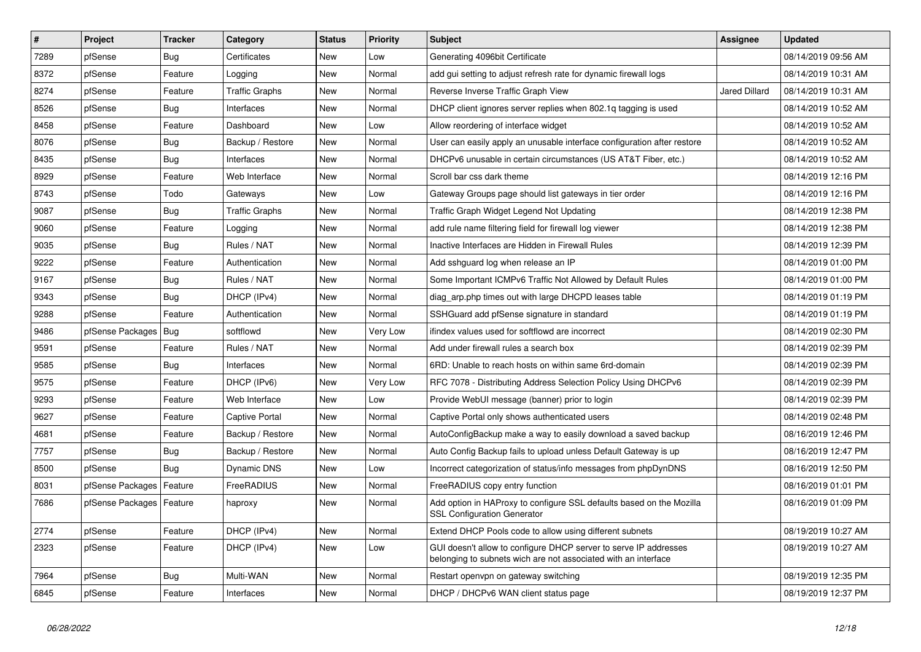| $\sharp$ | Project                    | <b>Tracker</b> | Category              | <b>Status</b> | Priority | <b>Subject</b>                                                                                                                     | Assignee             | <b>Updated</b>      |
|----------|----------------------------|----------------|-----------------------|---------------|----------|------------------------------------------------------------------------------------------------------------------------------------|----------------------|---------------------|
| 7289     | pfSense                    | Bug            | Certificates          | <b>New</b>    | Low      | Generating 4096bit Certificate                                                                                                     |                      | 08/14/2019 09:56 AM |
| 8372     | pfSense                    | Feature        | Logging               | <b>New</b>    | Normal   | add gui setting to adjust refresh rate for dynamic firewall logs                                                                   |                      | 08/14/2019 10:31 AM |
| 8274     | pfSense                    | Feature        | Traffic Graphs        | New           | Normal   | Reverse Inverse Traffic Graph View                                                                                                 | <b>Jared Dillard</b> | 08/14/2019 10:31 AM |
| 8526     | pfSense                    | <b>Bug</b>     | Interfaces            | <b>New</b>    | Normal   | DHCP client ignores server replies when 802.1q tagging is used                                                                     |                      | 08/14/2019 10:52 AM |
| 8458     | pfSense                    | Feature        | Dashboard             | <b>New</b>    | Low      | Allow reordering of interface widget                                                                                               |                      | 08/14/2019 10:52 AM |
| 8076     | pfSense                    | <b>Bug</b>     | Backup / Restore      | <b>New</b>    | Normal   | User can easily apply an unusable interface configuration after restore                                                            |                      | 08/14/2019 10:52 AM |
| 8435     | pfSense                    | <b>Bug</b>     | Interfaces            | <b>New</b>    | Normal   | DHCPv6 unusable in certain circumstances (US AT&T Fiber, etc.)                                                                     |                      | 08/14/2019 10:52 AM |
| 8929     | pfSense                    | Feature        | Web Interface         | New           | Normal   | Scroll bar css dark theme                                                                                                          |                      | 08/14/2019 12:16 PM |
| 8743     | pfSense                    | Todo           | Gateways              | New           | Low      | Gateway Groups page should list gateways in tier order                                                                             |                      | 08/14/2019 12:16 PM |
| 9087     | pfSense                    | Bug            | <b>Traffic Graphs</b> | New           | Normal   | Traffic Graph Widget Legend Not Updating                                                                                           |                      | 08/14/2019 12:38 PM |
| 9060     | pfSense                    | Feature        | Logging               | New           | Normal   | add rule name filtering field for firewall log viewer                                                                              |                      | 08/14/2019 12:38 PM |
| 9035     | pfSense                    | Bug            | Rules / NAT           | New           | Normal   | Inactive Interfaces are Hidden in Firewall Rules                                                                                   |                      | 08/14/2019 12:39 PM |
| 9222     | pfSense                    | Feature        | Authentication        | <b>New</b>    | Normal   | Add sshguard log when release an IP                                                                                                |                      | 08/14/2019 01:00 PM |
| 9167     | pfSense                    | <b>Bug</b>     | Rules / NAT           | <b>New</b>    | Normal   | Some Important ICMPv6 Traffic Not Allowed by Default Rules                                                                         |                      | 08/14/2019 01:00 PM |
| 9343     | pfSense                    | Bug            | DHCP (IPv4)           | <b>New</b>    | Normal   | diag_arp.php times out with large DHCPD leases table                                                                               |                      | 08/14/2019 01:19 PM |
| 9288     | pfSense                    | Feature        | Authentication        | <b>New</b>    | Normal   | SSHGuard add pfSense signature in standard                                                                                         |                      | 08/14/2019 01:19 PM |
| 9486     | pfSense Packages           | Bug            | softflowd             | <b>New</b>    | Very Low | ifindex values used for softflowd are incorrect                                                                                    |                      | 08/14/2019 02:30 PM |
| 9591     | pfSense                    | Feature        | Rules / NAT           | <b>New</b>    | Normal   | Add under firewall rules a search box                                                                                              |                      | 08/14/2019 02:39 PM |
| 9585     | pfSense                    | Bug            | Interfaces            | <b>New</b>    | Normal   | 6RD: Unable to reach hosts on within same 6rd-domain                                                                               |                      | 08/14/2019 02:39 PM |
| 9575     | pfSense                    | Feature        | DHCP (IPv6)           | New           | Very Low | RFC 7078 - Distributing Address Selection Policy Using DHCPv6                                                                      |                      | 08/14/2019 02:39 PM |
| 9293     | pfSense                    | Feature        | Web Interface         | <b>New</b>    | Low      | Provide WebUI message (banner) prior to login                                                                                      |                      | 08/14/2019 02:39 PM |
| 9627     | pfSense                    | Feature        | <b>Captive Portal</b> | <b>New</b>    | Normal   | Captive Portal only shows authenticated users                                                                                      |                      | 08/14/2019 02:48 PM |
| 4681     | pfSense                    | Feature        | Backup / Restore      | <b>New</b>    | Normal   | AutoConfigBackup make a way to easily download a saved backup                                                                      |                      | 08/16/2019 12:46 PM |
| 7757     | pfSense                    | Bug            | Backup / Restore      | New           | Normal   | Auto Config Backup fails to upload unless Default Gateway is up                                                                    |                      | 08/16/2019 12:47 PM |
| 8500     | pfSense                    | <b>Bug</b>     | Dynamic DNS           | <b>New</b>    | Low      | Incorrect categorization of status/info messages from phpDynDNS                                                                    |                      | 08/16/2019 12:50 PM |
| 8031     | pfSense Packages           | Feature        | FreeRADIUS            | <b>New</b>    | Normal   | FreeRADIUS copy entry function                                                                                                     |                      | 08/16/2019 01:01 PM |
| 7686     | pfSense Packages   Feature |                | haproxy               | <b>New</b>    | Normal   | Add option in HAProxy to configure SSL defaults based on the Mozilla<br><b>SSL Configuration Generator</b>                         |                      | 08/16/2019 01:09 PM |
| 2774     | pfSense                    | Feature        | DHCP (IPv4)           | <b>New</b>    | Normal   | Extend DHCP Pools code to allow using different subnets                                                                            |                      | 08/19/2019 10:27 AM |
| 2323     | pfSense                    | Feature        | DHCP (IPv4)           | <b>New</b>    | Low      | GUI doesn't allow to configure DHCP server to serve IP addresses<br>belonging to subnets wich are not associated with an interface |                      | 08/19/2019 10:27 AM |
| 7964     | pfSense                    | <b>Bug</b>     | Multi-WAN             | <b>New</b>    | Normal   | Restart openvpn on gateway switching                                                                                               |                      | 08/19/2019 12:35 PM |
| 6845     | pfSense                    | Feature        | Interfaces            | <b>New</b>    | Normal   | DHCP / DHCPv6 WAN client status page                                                                                               |                      | 08/19/2019 12:37 PM |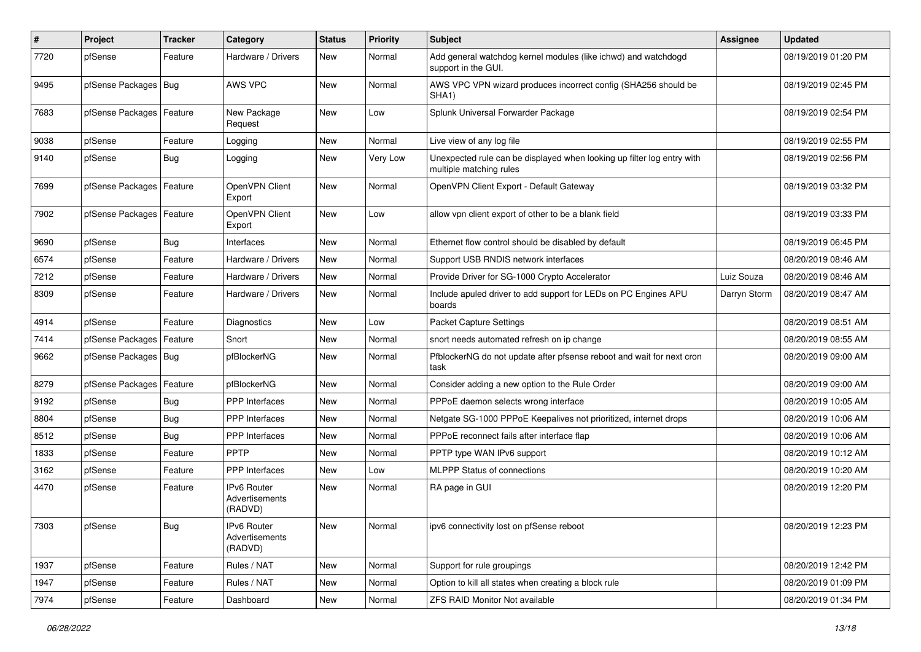| ∦    | Project                    | <b>Tracker</b> | Category                                 | <b>Status</b> | <b>Priority</b> | <b>Subject</b>                                                                                    | Assignee     | <b>Updated</b>      |
|------|----------------------------|----------------|------------------------------------------|---------------|-----------------|---------------------------------------------------------------------------------------------------|--------------|---------------------|
| 7720 | pfSense                    | Feature        | Hardware / Drivers                       | New           | Normal          | Add general watchdog kernel modules (like ichwd) and watchdogd<br>support in the GUI.             |              | 08/19/2019 01:20 PM |
| 9495 | pfSense Packages           | <b>Bug</b>     | AWS VPC                                  | <b>New</b>    | Normal          | AWS VPC VPN wizard produces incorrect config (SHA256 should be<br>SHA <sub>1</sub> )              |              | 08/19/2019 02:45 PM |
| 7683 | pfSense Packages   Feature |                | New Package<br>Request                   | <b>New</b>    | Low             | Splunk Universal Forwarder Package                                                                |              | 08/19/2019 02:54 PM |
| 9038 | pfSense                    | Feature        | Logging                                  | <b>New</b>    | Normal          | Live view of any log file                                                                         |              | 08/19/2019 02:55 PM |
| 9140 | pfSense                    | Bug            | Logging                                  | <b>New</b>    | Very Low        | Unexpected rule can be displayed when looking up filter log entry with<br>multiple matching rules |              | 08/19/2019 02:56 PM |
| 7699 | pfSense Packages           | Feature        | OpenVPN Client<br>Export                 | <b>New</b>    | Normal          | OpenVPN Client Export - Default Gateway                                                           |              | 08/19/2019 03:32 PM |
| 7902 | pfSense Packages   Feature |                | OpenVPN Client<br>Export                 | <b>New</b>    | Low             | allow vpn client export of other to be a blank field                                              |              | 08/19/2019 03:33 PM |
| 9690 | pfSense                    | Bug            | Interfaces                               | <b>New</b>    | Normal          | Ethernet flow control should be disabled by default                                               |              | 08/19/2019 06:45 PM |
| 6574 | pfSense                    | Feature        | Hardware / Drivers                       | <b>New</b>    | Normal          | Support USB RNDIS network interfaces                                                              |              | 08/20/2019 08:46 AM |
| 7212 | pfSense                    | Feature        | Hardware / Drivers                       | New           | Normal          | Provide Driver for SG-1000 Crypto Accelerator                                                     | Luiz Souza   | 08/20/2019 08:46 AM |
| 8309 | pfSense                    | Feature        | Hardware / Drivers                       | <b>New</b>    | Normal          | Include apuled driver to add support for LEDs on PC Engines APU<br>boards                         | Darryn Storm | 08/20/2019 08:47 AM |
| 4914 | pfSense                    | Feature        | Diagnostics                              | New           | Low             | <b>Packet Capture Settings</b>                                                                    |              | 08/20/2019 08:51 AM |
| 7414 | pfSense Packages           | Feature        | Snort                                    | <b>New</b>    | Normal          | snort needs automated refresh on ip change                                                        |              | 08/20/2019 08:55 AM |
| 9662 | pfSense Packages   Bug     |                | pfBlockerNG                              | <b>New</b>    | Normal          | PfblockerNG do not update after pfsense reboot and wait for next cron<br>task                     |              | 08/20/2019 09:00 AM |
| 8279 | pfSense Packages           | Feature        | pfBlockerNG                              | <b>New</b>    | Normal          | Consider adding a new option to the Rule Order                                                    |              | 08/20/2019 09:00 AM |
| 9192 | pfSense                    | Bug            | PPP Interfaces                           | <b>New</b>    | Normal          | PPPoE daemon selects wrong interface                                                              |              | 08/20/2019 10:05 AM |
| 8804 | pfSense                    | Bug            | <b>PPP</b> Interfaces                    | New           | Normal          | Netgate SG-1000 PPPoE Keepalives not prioritized, internet drops                                  |              | 08/20/2019 10:06 AM |
| 8512 | pfSense                    | Bug            | PPP Interfaces                           | New           | Normal          | PPPoE reconnect fails after interface flap                                                        |              | 08/20/2019 10:06 AM |
| 1833 | pfSense                    | Feature        | PPTP                                     | New           | Normal          | PPTP type WAN IPv6 support                                                                        |              | 08/20/2019 10:12 AM |
| 3162 | pfSense                    | Feature        | <b>PPP</b> Interfaces                    | <b>New</b>    | Low             | <b>MLPPP Status of connections</b>                                                                |              | 08/20/2019 10:20 AM |
| 4470 | pfSense                    | Feature        | IPv6 Router<br>Advertisements<br>(RADVD) | <b>New</b>    | Normal          | RA page in GUI                                                                                    |              | 08/20/2019 12:20 PM |
| 7303 | pfSense                    | <b>Bug</b>     | IPv6 Router<br>Advertisements<br>(RADVD) | New           | Normal          | ipv6 connectivity lost on pfSense reboot                                                          |              | 08/20/2019 12:23 PM |
| 1937 | pfSense                    | Feature        | Rules / NAT                              | New           | Normal          | Support for rule groupings                                                                        |              | 08/20/2019 12:42 PM |
| 1947 | pfSense                    | Feature        | Rules / NAT                              | New           | Normal          | Option to kill all states when creating a block rule                                              |              | 08/20/2019 01:09 PM |
| 7974 | pfSense                    | Feature        | Dashboard                                | New           | Normal          | <b>ZFS RAID Monitor Not available</b>                                                             |              | 08/20/2019 01:34 PM |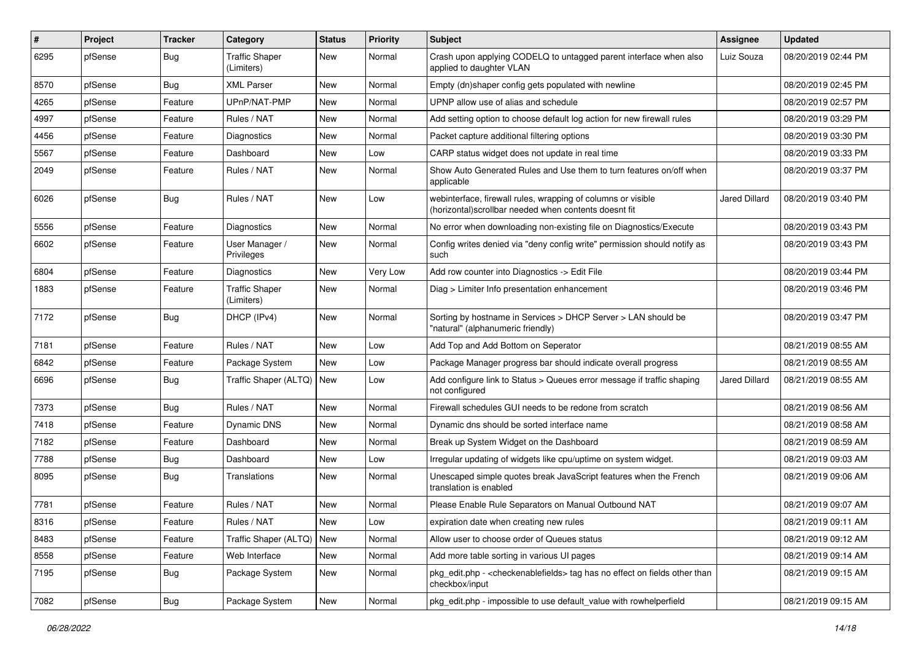| #    | Project | <b>Tracker</b> | Category                            | <b>Status</b> | <b>Priority</b> | <b>Subject</b>                                                                                                         | Assignee      | <b>Updated</b>      |
|------|---------|----------------|-------------------------------------|---------------|-----------------|------------------------------------------------------------------------------------------------------------------------|---------------|---------------------|
| 6295 | pfSense | Bug            | <b>Traffic Shaper</b><br>(Limiters) | <b>New</b>    | Normal          | Crash upon applying CODELQ to untagged parent interface when also<br>applied to daughter VLAN                          | Luiz Souza    | 08/20/2019 02:44 PM |
| 8570 | pfSense | <b>Bug</b>     | <b>XML Parser</b>                   | <b>New</b>    | Normal          | Empty (dn)shaper config gets populated with newline                                                                    |               | 08/20/2019 02:45 PM |
| 4265 | pfSense | Feature        | UPnP/NAT-PMP                        | <b>New</b>    | Normal          | UPNP allow use of alias and schedule                                                                                   |               | 08/20/2019 02:57 PM |
| 4997 | pfSense | Feature        | Rules / NAT                         | New           | Normal          | Add setting option to choose default log action for new firewall rules                                                 |               | 08/20/2019 03:29 PM |
| 4456 | pfSense | Feature        | Diagnostics                         | <b>New</b>    | Normal          | Packet capture additional filtering options                                                                            |               | 08/20/2019 03:30 PM |
| 5567 | pfSense | Feature        | Dashboard                           | <b>New</b>    | Low             | CARP status widget does not update in real time                                                                        |               | 08/20/2019 03:33 PM |
| 2049 | pfSense | Feature        | Rules / NAT                         | New           | Normal          | Show Auto Generated Rules and Use them to turn features on/off when<br>applicable                                      |               | 08/20/2019 03:37 PM |
| 6026 | pfSense | Bug            | Rules / NAT                         | New           | Low             | webinterface, firewall rules, wrapping of columns or visible<br>(horizontal) scrollbar needed when contents doesnt fit | Jared Dillard | 08/20/2019 03:40 PM |
| 5556 | pfSense | Feature        | Diagnostics                         | <b>New</b>    | Normal          | No error when downloading non-existing file on Diagnostics/Execute                                                     |               | 08/20/2019 03:43 PM |
| 6602 | pfSense | Feature        | User Manager /<br>Privileges        | <b>New</b>    | Normal          | Config writes denied via "deny config write" permission should notify as<br>such                                       |               | 08/20/2019 03:43 PM |
| 6804 | pfSense | Feature        | Diagnostics                         | New           | Very Low        | Add row counter into Diagnostics -> Edit File                                                                          |               | 08/20/2019 03:44 PM |
| 1883 | pfSense | Feature        | <b>Traffic Shaper</b><br>(Limiters) | New           | Normal          | Diag > Limiter Info presentation enhancement                                                                           |               | 08/20/2019 03:46 PM |
| 7172 | pfSense | Bug            | DHCP (IPv4)                         | New           | Normal          | Sorting by hostname in Services > DHCP Server > LAN should be<br>"natural" (alphanumeric friendly)                     |               | 08/20/2019 03:47 PM |
| 7181 | pfSense | Feature        | Rules / NAT                         | <b>New</b>    | Low             | Add Top and Add Bottom on Seperator                                                                                    |               | 08/21/2019 08:55 AM |
| 6842 | pfSense | Feature        | Package System                      | <b>New</b>    | Low             | Package Manager progress bar should indicate overall progress                                                          |               | 08/21/2019 08:55 AM |
| 6696 | pfSense | <b>Bug</b>     | Traffic Shaper (ALTQ)               | <b>New</b>    | Low             | Add configure link to Status > Queues error message if traffic shaping<br>not configured                               | Jared Dillard | 08/21/2019 08:55 AM |
| 7373 | pfSense | <b>Bug</b>     | Rules / NAT                         | <b>New</b>    | Normal          | Firewall schedules GUI needs to be redone from scratch                                                                 |               | 08/21/2019 08:56 AM |
| 7418 | pfSense | Feature        | Dynamic DNS                         | <b>New</b>    | Normal          | Dynamic dns should be sorted interface name                                                                            |               | 08/21/2019 08:58 AM |
| 7182 | pfSense | Feature        | Dashboard                           | New           | Normal          | Break up System Widget on the Dashboard                                                                                |               | 08/21/2019 08:59 AM |
| 7788 | pfSense | <b>Bug</b>     | Dashboard                           | <b>New</b>    | Low             | Irregular updating of widgets like cpu/uptime on system widget.                                                        |               | 08/21/2019 09:03 AM |
| 8095 | pfSense | <b>Bug</b>     | Translations                        | New           | Normal          | Unescaped simple quotes break JavaScript features when the French<br>translation is enabled                            |               | 08/21/2019 09:06 AM |
| 7781 | pfSense | Feature        | Rules / NAT                         | <b>New</b>    | Normal          | Please Enable Rule Separators on Manual Outbound NAT                                                                   |               | 08/21/2019 09:07 AM |
| 8316 | pfSense | Feature        | Rules / NAT                         | New           | LOW             | expiration date when creating new rules                                                                                |               | 08/21/2019 09:11 AM |
| 8483 | pfSense | Feature        | Traffic Shaper (ALTQ)               | New           | Normal          | Allow user to choose order of Queues status                                                                            |               | 08/21/2019 09:12 AM |
| 8558 | pfSense | Feature        | Web Interface                       | New           | Normal          | Add more table sorting in various UI pages                                                                             |               | 08/21/2019 09:14 AM |
| 7195 | pfSense | <b>Bug</b>     | Package System                      | New           | Normal          | pkg edit.php - < checkenable fields > tag has no effect on fields other than<br>checkbox/input                         |               | 08/21/2019 09:15 AM |
| 7082 | pfSense | Bug            | Package System                      | New           | Normal          | pkg edit.php - impossible to use default value with rowhelperfield                                                     |               | 08/21/2019 09:15 AM |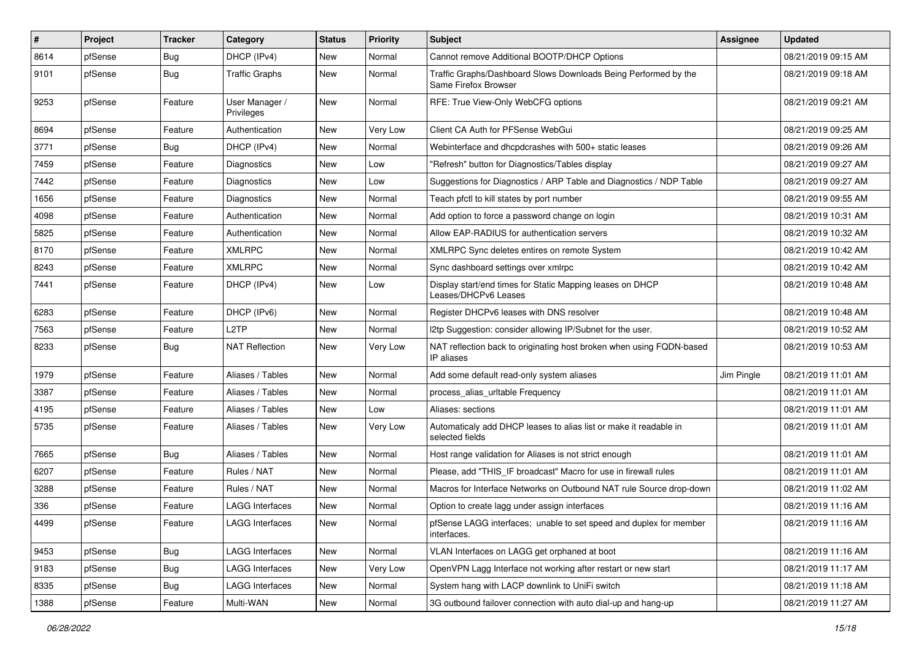| #    | Project | <b>Tracker</b> | Category                     | <b>Status</b> | <b>Priority</b> | <b>Subject</b>                                                                          | Assignee   | <b>Updated</b>      |
|------|---------|----------------|------------------------------|---------------|-----------------|-----------------------------------------------------------------------------------------|------------|---------------------|
| 8614 | pfSense | <b>Bug</b>     | DHCP (IPv4)                  | <b>New</b>    | Normal          | Cannot remove Additional BOOTP/DHCP Options                                             |            | 08/21/2019 09:15 AM |
| 9101 | pfSense | Bug            | Traffic Graphs               | <b>New</b>    | Normal          | Traffic Graphs/Dashboard Slows Downloads Being Performed by the<br>Same Firefox Browser |            | 08/21/2019 09:18 AM |
| 9253 | pfSense | Feature        | User Manager /<br>Privileges | <b>New</b>    | Normal          | RFE: True View-Only WebCFG options                                                      |            | 08/21/2019 09:21 AM |
| 8694 | pfSense | Feature        | Authentication               | New           | Very Low        | Client CA Auth for PFSense WebGui                                                       |            | 08/21/2019 09:25 AM |
| 3771 | pfSense | Bug            | DHCP (IPv4)                  | <b>New</b>    | Normal          | Webinterface and dhcpdcrashes with 500+ static leases                                   |            | 08/21/2019 09:26 AM |
| 7459 | pfSense | Feature        | Diagnostics                  | <b>New</b>    | Low             | 'Refresh" button for Diagnostics/Tables display                                         |            | 08/21/2019 09:27 AM |
| 7442 | pfSense | Feature        | <b>Diagnostics</b>           | New           | Low             | Suggestions for Diagnostics / ARP Table and Diagnostics / NDP Table                     |            | 08/21/2019 09:27 AM |
| 1656 | pfSense | Feature        | Diagnostics                  | <b>New</b>    | Normal          | Teach pfctl to kill states by port number                                               |            | 08/21/2019 09:55 AM |
| 4098 | pfSense | Feature        | Authentication               | <b>New</b>    | Normal          | Add option to force a password change on login                                          |            | 08/21/2019 10:31 AM |
| 5825 | pfSense | Feature        | Authentication               | <b>New</b>    | Normal          | Allow EAP-RADIUS for authentication servers                                             |            | 08/21/2019 10:32 AM |
| 8170 | pfSense | Feature        | <b>XMLRPC</b>                | <b>New</b>    | Normal          | XMLRPC Sync deletes entires on remote System                                            |            | 08/21/2019 10:42 AM |
| 8243 | pfSense | Feature        | <b>XMLRPC</b>                | <b>New</b>    | Normal          | Sync dashboard settings over xmlrpc                                                     |            | 08/21/2019 10:42 AM |
| 7441 | pfSense | Feature        | DHCP (IPv4)                  | <b>New</b>    | Low             | Display start/end times for Static Mapping leases on DHCP<br>Leases/DHCPv6 Leases       |            | 08/21/2019 10:48 AM |
| 6283 | pfSense | Feature        | DHCP (IPv6)                  | <b>New</b>    | Normal          | Register DHCPv6 leases with DNS resolver                                                |            | 08/21/2019 10:48 AM |
| 7563 | pfSense | Feature        | L <sub>2</sub> TP            | <b>New</b>    | Normal          | I2tp Suggestion: consider allowing IP/Subnet for the user.                              |            | 08/21/2019 10:52 AM |
| 8233 | pfSense | <b>Bug</b>     | <b>NAT Reflection</b>        | New           | Very Low        | NAT reflection back to originating host broken when using FQDN-based<br>IP aliases      |            | 08/21/2019 10:53 AM |
| 1979 | pfSense | Feature        | Aliases / Tables             | <b>New</b>    | Normal          | Add some default read-only system aliases                                               | Jim Pingle | 08/21/2019 11:01 AM |
| 3387 | pfSense | Feature        | Aliases / Tables             | <b>New</b>    | Normal          | process alias urltable Frequency                                                        |            | 08/21/2019 11:01 AM |
| 4195 | pfSense | Feature        | Aliases / Tables             | <b>New</b>    | Low             | Aliases: sections                                                                       |            | 08/21/2019 11:01 AM |
| 5735 | pfSense | Feature        | Aliases / Tables             | New           | Very Low        | Automaticaly add DHCP leases to alias list or make it readable in<br>selected fields    |            | 08/21/2019 11:01 AM |
| 7665 | pfSense | <b>Bug</b>     | Aliases / Tables             | <b>New</b>    | Normal          | Host range validation for Aliases is not strict enough                                  |            | 08/21/2019 11:01 AM |
| 6207 | pfSense | Feature        | Rules / NAT                  | <b>New</b>    | Normal          | Please, add "THIS_IF broadcast" Macro for use in firewall rules                         |            | 08/21/2019 11:01 AM |
| 3288 | pfSense | Feature        | Rules / NAT                  | <b>New</b>    | Normal          | Macros for Interface Networks on Outbound NAT rule Source drop-down                     |            | 08/21/2019 11:02 AM |
| 336  | pfSense | Feature        | <b>LAGG Interfaces</b>       | New           | Normal          | Option to create lagg under assign interfaces                                           |            | 08/21/2019 11:16 AM |
| 4499 | ptSense | Feature        | LAGG Interfaces              | New           | Normal          | pfSense LAGG interfaces; unable to set speed and duplex for member<br>interfaces.       |            | 08/21/2019 11:16 AM |
| 9453 | pfSense | <b>Bug</b>     | <b>LAGG Interfaces</b>       | New           | Normal          | VLAN Interfaces on LAGG get orphaned at boot                                            |            | 08/21/2019 11:16 AM |
| 9183 | pfSense | <b>Bug</b>     | LAGG Interfaces              | New           | Very Low        | OpenVPN Lagg Interface not working after restart or new start                           |            | 08/21/2019 11:17 AM |
| 8335 | pfSense | <b>Bug</b>     | LAGG Interfaces              | New           | Normal          | System hang with LACP downlink to UniFi switch                                          |            | 08/21/2019 11:18 AM |
| 1388 | pfSense | Feature        | Multi-WAN                    | New           | Normal          | 3G outbound failover connection with auto dial-up and hang-up                           |            | 08/21/2019 11:27 AM |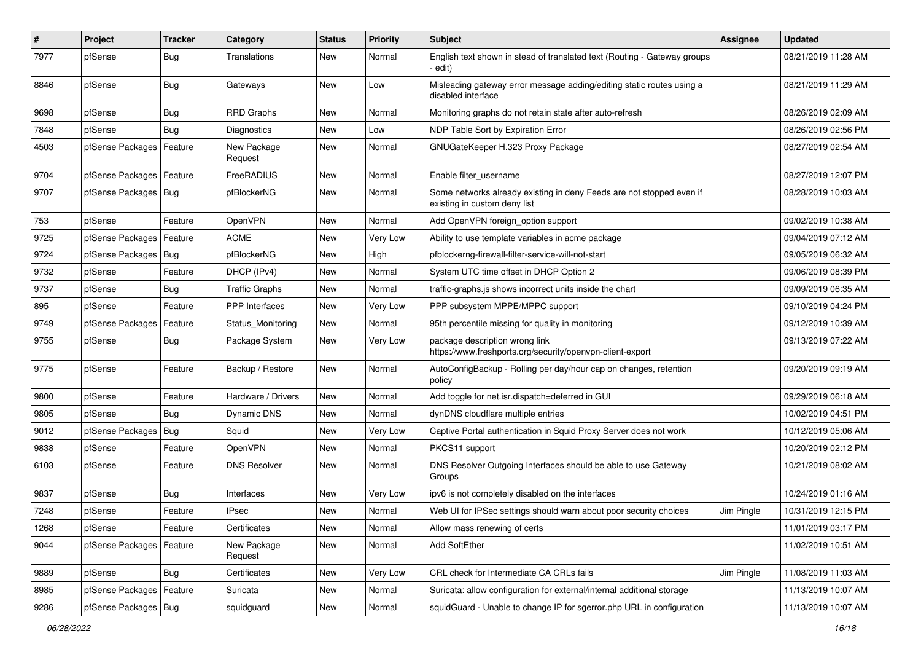| $\pmb{\#}$ | Project                | <b>Tracker</b> | Category               | <b>Status</b> | <b>Priority</b> | <b>Subject</b>                                                                                       | <b>Assignee</b> | <b>Updated</b>      |
|------------|------------------------|----------------|------------------------|---------------|-----------------|------------------------------------------------------------------------------------------------------|-----------------|---------------------|
| 7977       | pfSense                | <b>Bug</b>     | Translations           | New           | Normal          | English text shown in stead of translated text (Routing - Gateway groups<br>· edit)                  |                 | 08/21/2019 11:28 AM |
| 8846       | pfSense                | <b>Bug</b>     | Gateways               | New           | Low             | Misleading gateway error message adding/editing static routes using a<br>disabled interface          |                 | 08/21/2019 11:29 AM |
| 9698       | pfSense                | <b>Bug</b>     | <b>RRD Graphs</b>      | <b>New</b>    | Normal          | Monitoring graphs do not retain state after auto-refresh                                             |                 | 08/26/2019 02:09 AM |
| 7848       | pfSense                | <b>Bug</b>     | <b>Diagnostics</b>     | New           | Low             | NDP Table Sort by Expiration Error                                                                   |                 | 08/26/2019 02:56 PM |
| 4503       | pfSense Packages       | Feature        | New Package<br>Request | New           | Normal          | GNUGateKeeper H.323 Proxy Package                                                                    |                 | 08/27/2019 02:54 AM |
| 9704       | pfSense Packages       | Feature        | FreeRADIUS             | <b>New</b>    | Normal          | Enable filter_username                                                                               |                 | 08/27/2019 12:07 PM |
| 9707       | pfSense Packages   Bug |                | pfBlockerNG            | <b>New</b>    | Normal          | Some networks already existing in deny Feeds are not stopped even if<br>existing in custom deny list |                 | 08/28/2019 10:03 AM |
| 753        | pfSense                | Feature        | OpenVPN                | <b>New</b>    | Normal          | Add OpenVPN foreign_option support                                                                   |                 | 09/02/2019 10:38 AM |
| 9725       | pfSense Packages       | Feature        | <b>ACME</b>            | <b>New</b>    | Very Low        | Ability to use template variables in acme package                                                    |                 | 09/04/2019 07:12 AM |
| 9724       | pfSense Packages       | <b>Bug</b>     | pfBlockerNG            | New           | High            | pfblockerng-firewall-filter-service-will-not-start                                                   |                 | 09/05/2019 06:32 AM |
| 9732       | pfSense                | Feature        | DHCP (IPv4)            | <b>New</b>    | Normal          | System UTC time offset in DHCP Option 2                                                              |                 | 09/06/2019 08:39 PM |
| 9737       | pfSense                | Bug            | <b>Traffic Graphs</b>  | New           | Normal          | traffic-graphs is shows incorrect units inside the chart                                             |                 | 09/09/2019 06:35 AM |
| 895        | pfSense                | Feature        | <b>PPP</b> Interfaces  | <b>New</b>    | Very Low        | PPP subsystem MPPE/MPPC support                                                                      |                 | 09/10/2019 04:24 PM |
| 9749       | pfSense Packages       | Feature        | Status Monitoring      | <b>New</b>    | Normal          | 95th percentile missing for quality in monitoring                                                    |                 | 09/12/2019 10:39 AM |
| 9755       | pfSense                | Bug            | Package System         | New           | Very Low        | package description wrong link<br>https://www.freshports.org/security/openvpn-client-export          |                 | 09/13/2019 07:22 AM |
| 9775       | pfSense                | Feature        | Backup / Restore       | <b>New</b>    | Normal          | AutoConfigBackup - Rolling per day/hour cap on changes, retention<br>policy                          |                 | 09/20/2019 09:19 AM |
| 9800       | pfSense                | Feature        | Hardware / Drivers     | <b>New</b>    | Normal          | Add toggle for net.isr.dispatch=deferred in GUI                                                      |                 | 09/29/2019 06:18 AM |
| 9805       | pfSense                | Bug            | Dynamic DNS            | New           | Normal          | dynDNS cloudflare multiple entries                                                                   |                 | 10/02/2019 04:51 PM |
| 9012       | pfSense Packages       | Bug            | Squid                  | New           | Very Low        | Captive Portal authentication in Squid Proxy Server does not work                                    |                 | 10/12/2019 05:06 AM |
| 9838       | pfSense                | Feature        | OpenVPN                | <b>New</b>    | Normal          | PKCS11 support                                                                                       |                 | 10/20/2019 02:12 PM |
| 6103       | pfSense                | Feature        | <b>DNS Resolver</b>    | New           | Normal          | DNS Resolver Outgoing Interfaces should be able to use Gateway<br>Groups                             |                 | 10/21/2019 08:02 AM |
| 9837       | pfSense                | <b>Bug</b>     | Interfaces             | <b>New</b>    | Very Low        | ipv6 is not completely disabled on the interfaces                                                    |                 | 10/24/2019 01:16 AM |
| 7248       | pfSense                | Feature        | <b>IPsec</b>           | New           | Normal          | Web UI for IPSec settings should warn about poor security choices                                    | Jim Pingle      | 10/31/2019 12:15 PM |
| 1268       | pfSense                | Feature        | Certificates           | New           | Normal          | Allow mass renewing of certs                                                                         |                 | 11/01/2019 03:17 PM |
| 9044       | pfSense Packages       | Feature        | New Package<br>Request | New           | Normal          | Add SoftEther                                                                                        |                 | 11/02/2019 10:51 AM |
| 9889       | pfSense                | Bug            | Certificates           | <b>New</b>    | Very Low        | CRL check for Intermediate CA CRLs fails                                                             | Jim Pingle      | 11/08/2019 11:03 AM |
| 8985       | pfSense Packages       | Feature        | Suricata               | New           | Normal          | Suricata: allow configuration for external/internal additional storage                               |                 | 11/13/2019 10:07 AM |
| 9286       | pfSense Packages   Bug |                | squidguard             | New           | Normal          | squidGuard - Unable to change IP for sgerror.php URL in configuration                                |                 | 11/13/2019 10:07 AM |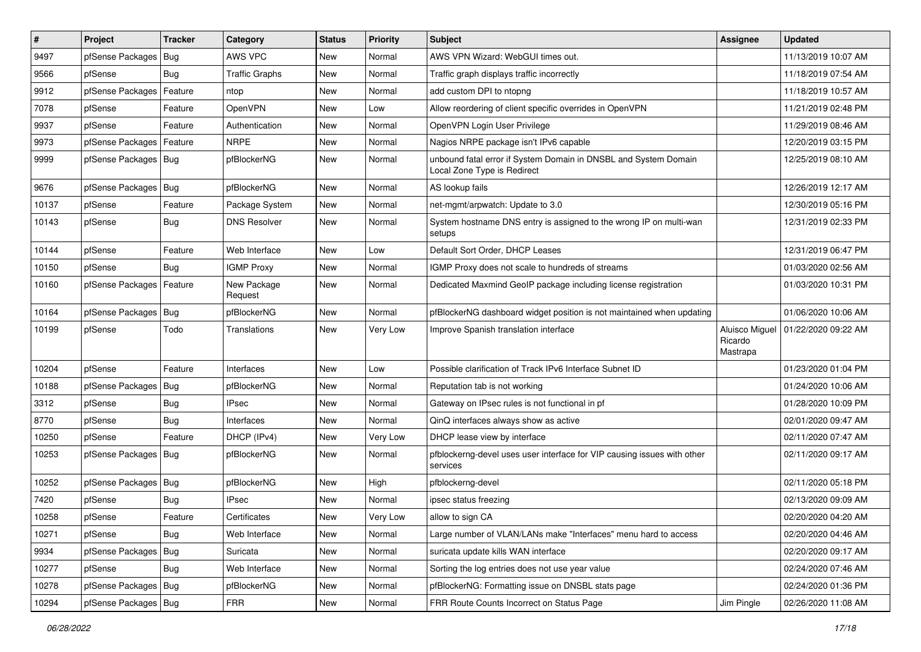| $\vert$ # | Project                    | <b>Tracker</b> | Category               | <b>Status</b> | <b>Priority</b> | <b>Subject</b>                                                                                 | Assignee                              | <b>Updated</b>      |
|-----------|----------------------------|----------------|------------------------|---------------|-----------------|------------------------------------------------------------------------------------------------|---------------------------------------|---------------------|
| 9497      | pfSense Packages           | Bug            | AWS VPC                | New           | Normal          | AWS VPN Wizard: WebGUI times out.                                                              |                                       | 11/13/2019 10:07 AM |
| 9566      | pfSense                    | Bug            | <b>Traffic Graphs</b>  | New           | Normal          | Traffic graph displays traffic incorrectly                                                     |                                       | 11/18/2019 07:54 AM |
| 9912      | pfSense Packages           | Feature        | ntop                   | New           | Normal          | add custom DPI to ntopng                                                                       |                                       | 11/18/2019 10:57 AM |
| 7078      | pfSense                    | Feature        | <b>OpenVPN</b>         | New           | Low             | Allow reordering of client specific overrides in OpenVPN                                       |                                       | 11/21/2019 02:48 PM |
| 9937      | pfSense                    | Feature        | Authentication         | New           | Normal          | OpenVPN Login User Privilege                                                                   |                                       | 11/29/2019 08:46 AM |
| 9973      | pfSense Packages           | Feature        | <b>NRPE</b>            | New           | Normal          | Nagios NRPE package isn't IPv6 capable                                                         |                                       | 12/20/2019 03:15 PM |
| 9999      | pfSense Packages   Bug     |                | pfBlockerNG            | New           | Normal          | unbound fatal error if System Domain in DNSBL and System Domain<br>Local Zone Type is Redirect |                                       | 12/25/2019 08:10 AM |
| 9676      | pfSense Packages           | Bug            | pfBlockerNG            | <b>New</b>    | Normal          | AS lookup fails                                                                                |                                       | 12/26/2019 12:17 AM |
| 10137     | pfSense                    | Feature        | Package System         | New           | Normal          | net-mgmt/arpwatch: Update to 3.0                                                               |                                       | 12/30/2019 05:16 PM |
| 10143     | pfSense                    | Bug            | <b>DNS Resolver</b>    | New           | Normal          | System hostname DNS entry is assigned to the wrong IP on multi-wan<br>setups                   |                                       | 12/31/2019 02:33 PM |
| 10144     | pfSense                    | Feature        | Web Interface          | New           | Low             | Default Sort Order, DHCP Leases                                                                |                                       | 12/31/2019 06:47 PM |
| 10150     | pfSense                    | Bug            | <b>IGMP Proxy</b>      | <b>New</b>    | Normal          | IGMP Proxy does not scale to hundreds of streams                                               |                                       | 01/03/2020 02:56 AM |
| 10160     | pfSense Packages   Feature |                | New Package<br>Request | New           | Normal          | Dedicated Maxmind GeoIP package including license registration                                 |                                       | 01/03/2020 10:31 PM |
| 10164     | pfSense Packages           | Bug            | pfBlockerNG            | New           | Normal          | pfBlockerNG dashboard widget position is not maintained when updating                          |                                       | 01/06/2020 10:06 AM |
| 10199     | pfSense                    | Todo           | Translations           | New           | Very Low        | Improve Spanish translation interface                                                          | Aluisco Miguel<br>Ricardo<br>Mastrapa | 01/22/2020 09:22 AM |
| 10204     | pfSense                    | Feature        | Interfaces             | New           | Low             | Possible clarification of Track IPv6 Interface Subnet ID                                       |                                       | 01/23/2020 01:04 PM |
| 10188     | pfSense Packages           | Bug            | pfBlockerNG            | New           | Normal          | Reputation tab is not working                                                                  |                                       | 01/24/2020 10:06 AM |
| 3312      | pfSense                    | Bug            | <b>IPsec</b>           | New           | Normal          | Gateway on IPsec rules is not functional in pf                                                 |                                       | 01/28/2020 10:09 PM |
| 8770      | pfSense                    | Bug            | Interfaces             | <b>New</b>    | Normal          | QinQ interfaces always show as active                                                          |                                       | 02/01/2020 09:47 AM |
| 10250     | pfSense                    | Feature        | DHCP (IPv4)            | <b>New</b>    | Very Low        | DHCP lease view by interface                                                                   |                                       | 02/11/2020 07:47 AM |
| 10253     | pfSense Packages   Bug     |                | pfBlockerNG            | New           | Normal          | pfblockerng-devel uses user interface for VIP causing issues with other<br>services            |                                       | 02/11/2020 09:17 AM |
| 10252     | pfSense Packages   Bug     |                | pfBlockerNG            | New           | High            | pfblockerng-devel                                                                              |                                       | 02/11/2020 05:18 PM |
| 7420      | pfSense                    | Bug            | <b>IPsec</b>           | <b>New</b>    | Normal          | ipsec status freezing                                                                          |                                       | 02/13/2020 09:09 AM |
| 10258     | pfSense                    | Feature        | Certificates           | New           | Very Low        | allow to sign CA                                                                               |                                       | 02/20/2020 04:20 AM |
| 10271     | pfSense                    | Bug            | Web Interface          | New           | Normal          | Large number of VLAN/LANs make "Interfaces" menu hard to access                                |                                       | 02/20/2020 04:46 AM |
| 9934      | pfSense Packages           | <b>Bug</b>     | Suricata               | New           | Normal          | suricata update kills WAN interface                                                            |                                       | 02/20/2020 09:17 AM |
| 10277     | pfSense                    | <b>Bug</b>     | Web Interface          | New           | Normal          | Sorting the log entries does not use year value                                                |                                       | 02/24/2020 07:46 AM |
| 10278     | pfSense Packages   Bug     |                | pfBlockerNG            | New           | Normal          | pfBlockerNG: Formatting issue on DNSBL stats page                                              |                                       | 02/24/2020 01:36 PM |
| 10294     | pfSense Packages   Bug     |                | <b>FRR</b>             | New           | Normal          | FRR Route Counts Incorrect on Status Page                                                      | Jim Pingle                            | 02/26/2020 11:08 AM |